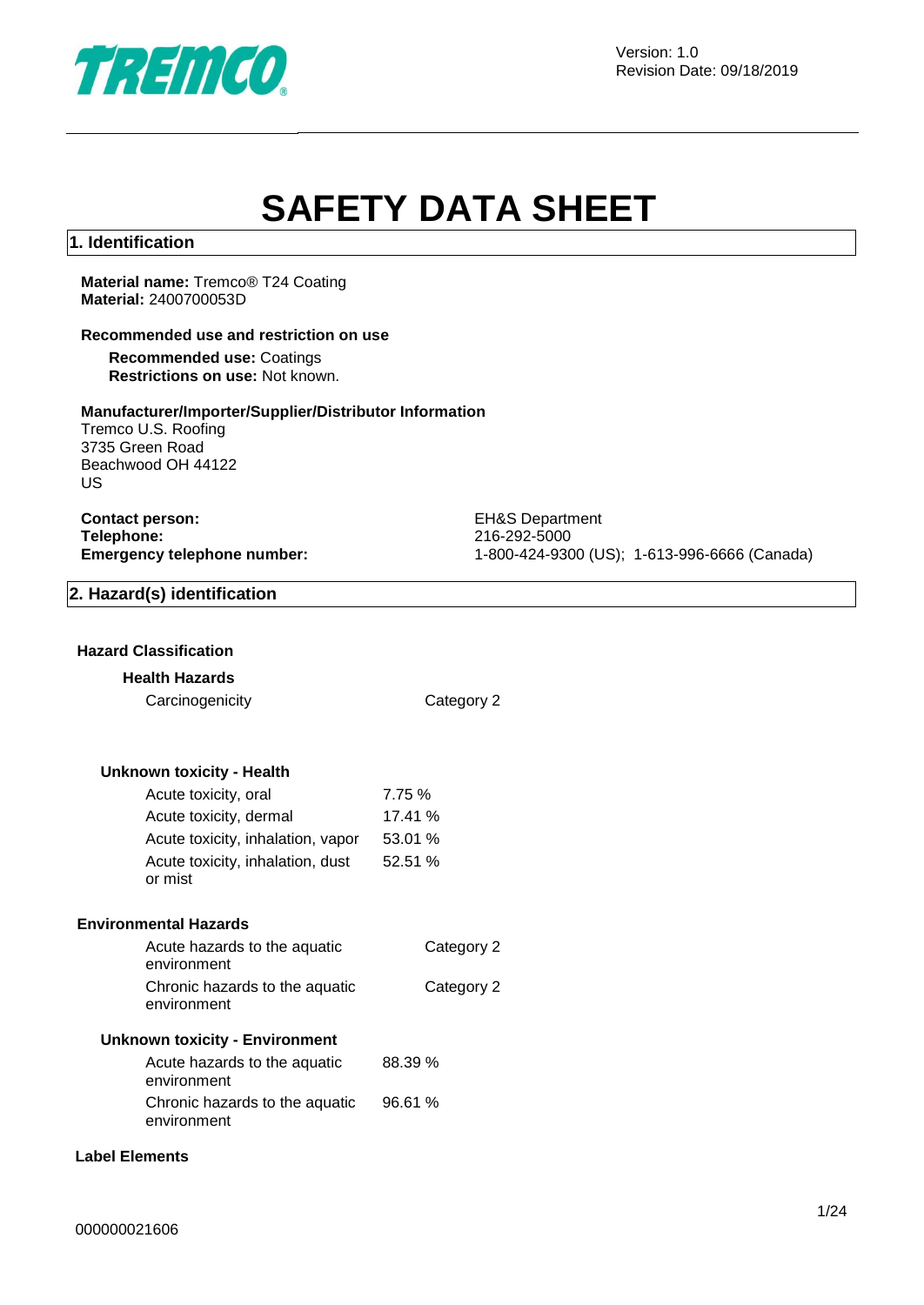

# **SAFETY DATA SHEET**

#### **1. Identification**

**Material name:** Tremco® T24 Coating **Material:** 2400700053D

#### **Recommended use and restriction on use**

**Recommended use:** Coatings **Restrictions on use:** Not known.

#### **Manufacturer/Importer/Supplier/Distributor Information**

Tremco U.S. Roofing 3735 Green Road Beachwood OH 44122 US

**Contact person:** EH&S Department **Telephone:** 216-292-5000<br> **Emergency telephone number:** 216-292-5000<br>
21-800-424-930

**Emergency telephone number:** 1-800-424-9300 (US); 1-613-996-6666 (Canada)

#### **2. Hazard(s) identification**

#### **Hazard Classification**

#### **Health Hazards**

Carcinogenicity Category 2

#### **Unknown toxicity - Health**

| Acute toxicity, oral              | 7.75 %  |
|-----------------------------------|---------|
| Acute toxicity, dermal            | 17.41 % |
| Acute toxicity, inhalation, vapor | 53.01 % |
| Acute toxicity, inhalation, dust  | 52.51 % |
| or mist                           |         |

#### **Environmental Hazards**

| Acute hazards to the aquatic<br>environment   | Category 2 |
|-----------------------------------------------|------------|
| Chronic hazards to the aquatic<br>environment | Category 2 |
| <b>Unknown toxicity - Environment</b>         |            |

| Acute hazards to the aquatic   | 88.39 % |
|--------------------------------|---------|
| environment                    |         |
| Chronic hazards to the aquatic | 96.61 % |
| environment                    |         |

#### **Label Elements**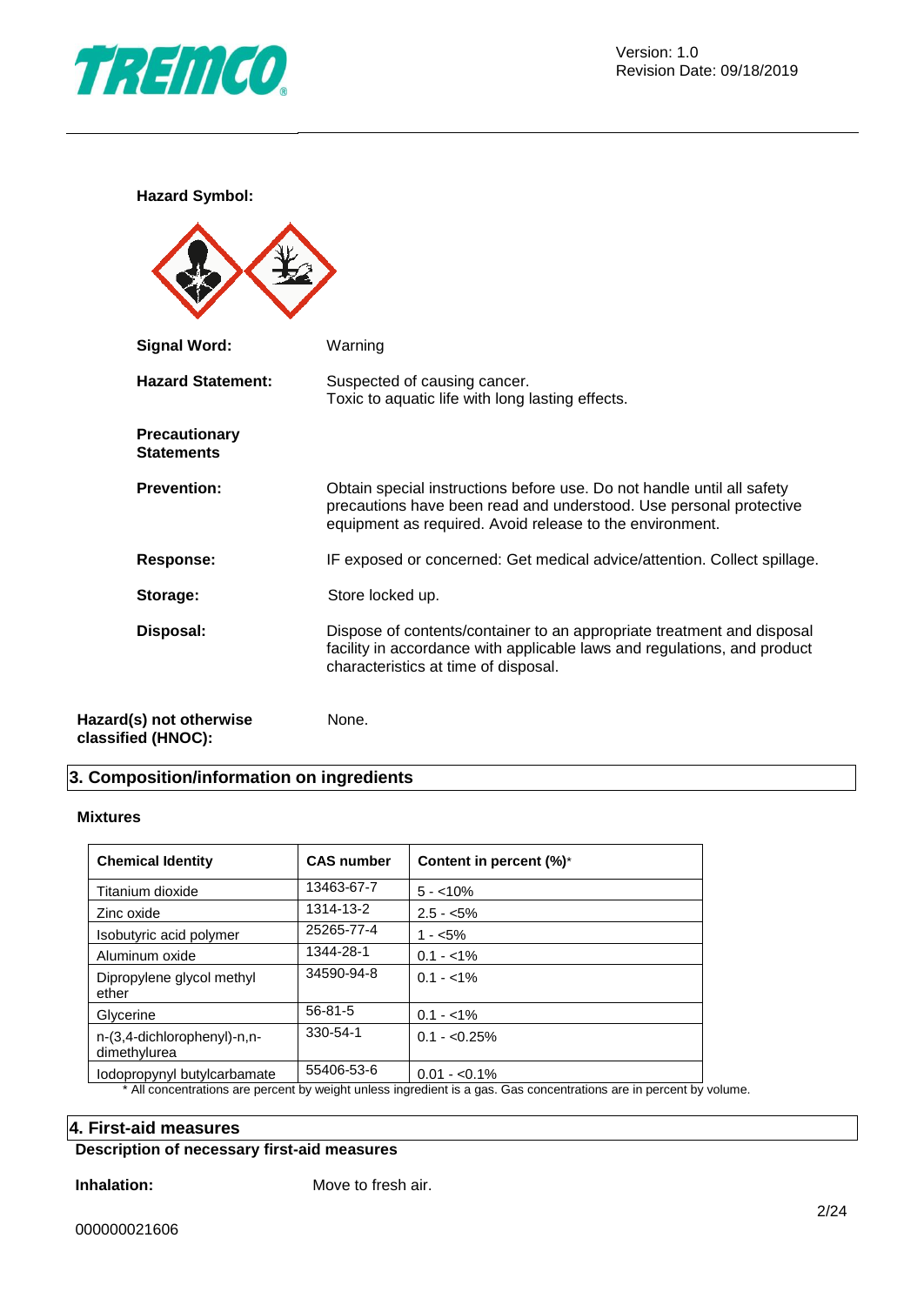

**Hazard Symbol:**

| <b>Signal Word:</b>                           | Warning                                                                                                                                                                                                  |
|-----------------------------------------------|----------------------------------------------------------------------------------------------------------------------------------------------------------------------------------------------------------|
| <b>Hazard Statement:</b>                      | Suspected of causing cancer.<br>Toxic to aquatic life with long lasting effects.                                                                                                                         |
| Precautionary<br><b>Statements</b>            |                                                                                                                                                                                                          |
| <b>Prevention:</b>                            | Obtain special instructions before use. Do not handle until all safety<br>precautions have been read and understood. Use personal protective<br>equipment as required. Avoid release to the environment. |
| <b>Response:</b>                              | IF exposed or concerned: Get medical advice/attention. Collect spillage.                                                                                                                                 |
| Storage:                                      | Store locked up.                                                                                                                                                                                         |
| Disposal:                                     | Dispose of contents/container to an appropriate treatment and disposal<br>facility in accordance with applicable laws and regulations, and product<br>characteristics at time of disposal.               |
| Hazard(s) not otherwise<br>classified (HNOC): | None.                                                                                                                                                                                                    |

## **3. Composition/information on ingredients**

#### **Mixtures**

| <b>Chemical Identity</b>                    | <b>CAS number</b> | Content in percent (%)*                                                                                                             |
|---------------------------------------------|-------------------|-------------------------------------------------------------------------------------------------------------------------------------|
| Titanium dioxide                            | 13463-67-7        | $5 - 10\%$                                                                                                                          |
| Zinc oxide                                  | 1314-13-2         | $2.5 - 5\%$                                                                                                                         |
| Isobutyric acid polymer                     | 25265-77-4        | $1 - 5\%$                                                                                                                           |
| Aluminum oxide                              | 1344-28-1         | $0.1 - 1\%$                                                                                                                         |
| Dipropylene glycol methyl<br>ether          | 34590-94-8        | $0.1 - 1\%$                                                                                                                         |
| Glycerine                                   | $56 - 81 - 5$     | $0.1 - 1\%$                                                                                                                         |
| n-(3,4-dichlorophenyl)-n,n-<br>dimethylurea | 330-54-1          | $0.1 - 0.25\%$                                                                                                                      |
| lodopropynyl butylcarbamate                 | 55406-53-6        | $0.01 - 0.1\%$<br>* All experimentary and representative indicated in an allocation area. One representatives and in representative |

All concentrations are percent by weight unless ingredient is a gas. Gas concentrations are in percent by volume.

### **4. First-aid measures**

## **Description of necessary first-aid measures**

**Inhalation:** Move to fresh air.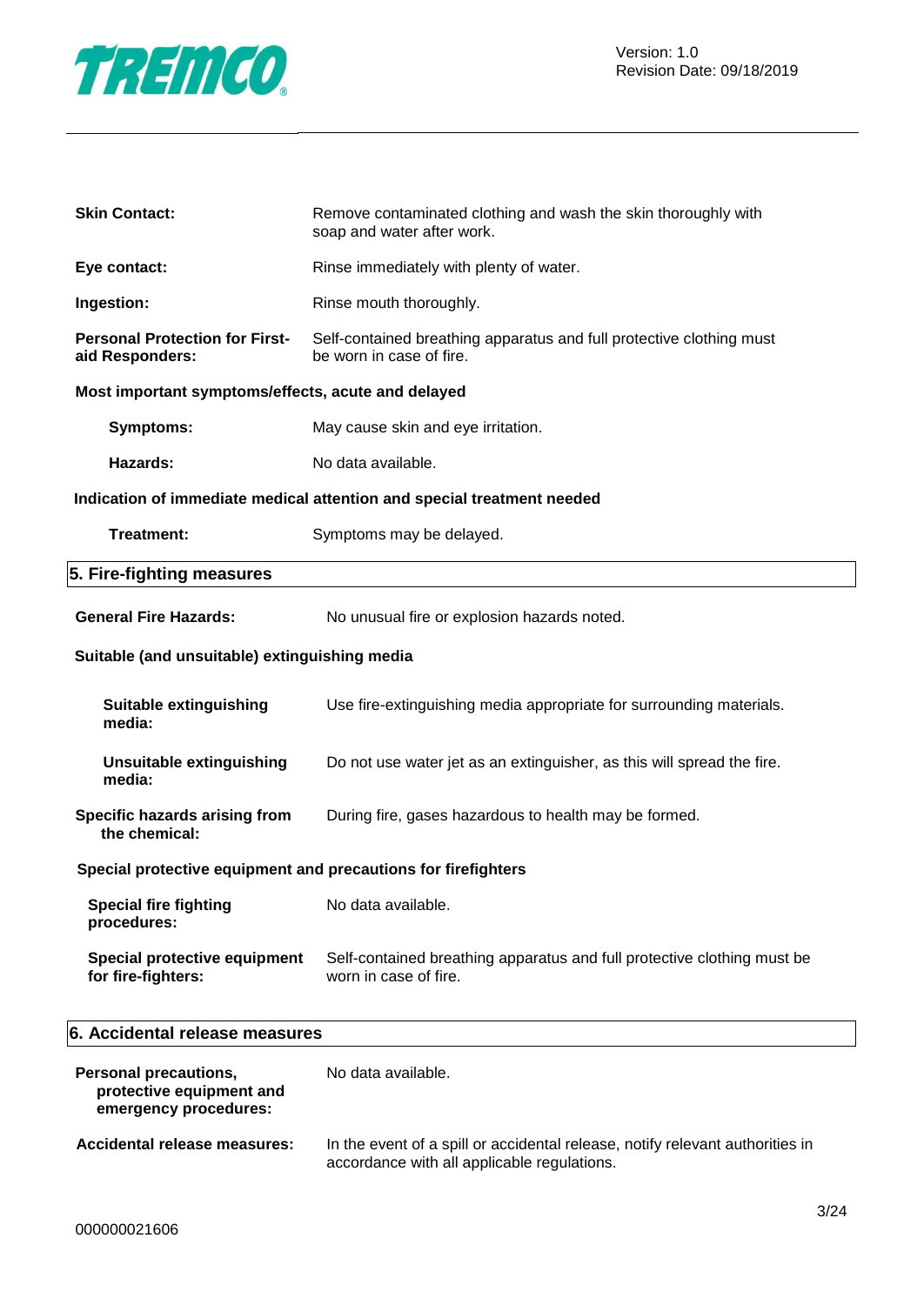

| <b>Skin Contact:</b>                                          | Remove contaminated clothing and wash the skin thoroughly with<br>soap and water after work.     |  |  |  |
|---------------------------------------------------------------|--------------------------------------------------------------------------------------------------|--|--|--|
| Eye contact:                                                  | Rinse immediately with plenty of water.                                                          |  |  |  |
| Ingestion:                                                    | Rinse mouth thoroughly.                                                                          |  |  |  |
| <b>Personal Protection for First-</b><br>aid Responders:      | Self-contained breathing apparatus and full protective clothing must<br>be worn in case of fire. |  |  |  |
| Most important symptoms/effects, acute and delayed            |                                                                                                  |  |  |  |
| <b>Symptoms:</b>                                              | May cause skin and eye irritation.                                                               |  |  |  |
| Hazards:                                                      | No data available.                                                                               |  |  |  |
|                                                               | Indication of immediate medical attention and special treatment needed                           |  |  |  |
| Treatment:                                                    | Symptoms may be delayed.                                                                         |  |  |  |
| 5. Fire-fighting measures                                     |                                                                                                  |  |  |  |
| <b>General Fire Hazards:</b>                                  | No unusual fire or explosion hazards noted.                                                      |  |  |  |
| Suitable (and unsuitable) extinguishing media                 |                                                                                                  |  |  |  |
| <b>Suitable extinguishing</b><br>media:                       | Use fire-extinguishing media appropriate for surrounding materials.                              |  |  |  |
| <b>Unsuitable extinguishing</b><br>media:                     | Do not use water jet as an extinguisher, as this will spread the fire.                           |  |  |  |
| Specific hazards arising from<br>the chemical:                | During fire, gases hazardous to health may be formed.                                            |  |  |  |
| Special protective equipment and precautions for firefighters |                                                                                                  |  |  |  |
| <b>Special fire fighting</b><br>procedures:                   | No data available.                                                                               |  |  |  |
| Special protective equipment<br>for fire-fighters:            | Self-contained breathing apparatus and full protective clothing must be<br>worn in case of fire. |  |  |  |
| 6. Accidental release measures                                |                                                                                                  |  |  |  |
|                                                               |                                                                                                  |  |  |  |

| <b>Personal precautions,</b><br>protective equipment and<br>emergency procedures: | No data available.                                                                                                           |
|-----------------------------------------------------------------------------------|------------------------------------------------------------------------------------------------------------------------------|
| Accidental release measures:                                                      | In the event of a spill or accidental release, notify relevant authorities in<br>accordance with all applicable regulations. |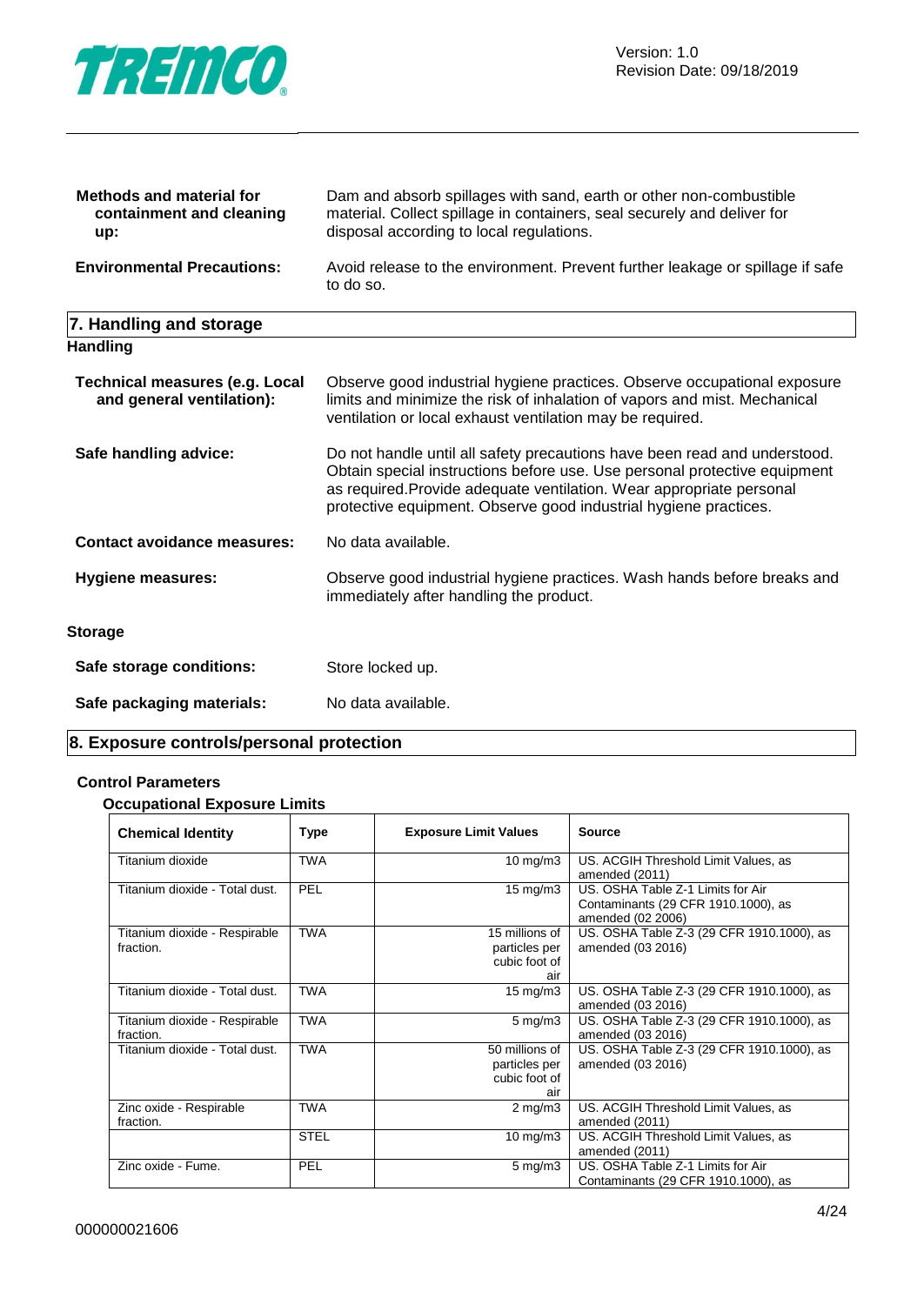

| <b>Methods and material for</b><br>containment and cleaning<br>up: | Dam and absorb spillages with sand, earth or other non-combustible<br>material. Collect spillage in containers, seal securely and deliver for<br>disposal according to local regulations. |
|--------------------------------------------------------------------|-------------------------------------------------------------------------------------------------------------------------------------------------------------------------------------------|
| <b>Environmental Precautions:</b>                                  | Avoid release to the environment. Prevent further leakage or spillage if safe<br>to do so.                                                                                                |
| 7. Handling and storage                                            |                                                                                                                                                                                           |

| Observe good industrial hygiene practices. Observe occupational exposure<br>limits and minimize the risk of inhalation of vapors and mist. Mechanical<br>ventilation or local exhaust ventilation may be required.                                                                                 |
|----------------------------------------------------------------------------------------------------------------------------------------------------------------------------------------------------------------------------------------------------------------------------------------------------|
| Do not handle until all safety precautions have been read and understood.<br>Obtain special instructions before use. Use personal protective equipment<br>as required. Provide adequate ventilation. Wear appropriate personal<br>protective equipment. Observe good industrial hygiene practices. |
| No data available.                                                                                                                                                                                                                                                                                 |
| Observe good industrial hygiene practices. Wash hands before breaks and<br>immediately after handling the product.                                                                                                                                                                                 |
|                                                                                                                                                                                                                                                                                                    |
| Store locked up.                                                                                                                                                                                                                                                                                   |
| No data available.                                                                                                                                                                                                                                                                                 |
|                                                                                                                                                                                                                                                                                                    |

## **8. Exposure controls/personal protection**

#### **Control Parameters**

#### **Occupational Exposure Limits**

| <b>Chemical Identity</b>                   | <b>Type</b> | <b>Exposure Limit Values</b>                            | <b>Source</b>                                                                                 |
|--------------------------------------------|-------------|---------------------------------------------------------|-----------------------------------------------------------------------------------------------|
| Titanium dioxide                           | <b>TWA</b>  | $10$ mg/m $3$                                           | US. ACGIH Threshold Limit Values, as<br>amended (2011)                                        |
| Titanium dioxide - Total dust.             | <b>PEL</b>  | $15 \text{ mg/m}$                                       | US. OSHA Table Z-1 Limits for Air<br>Contaminants (29 CFR 1910.1000), as<br>amended (02 2006) |
| Titanium dioxide - Respirable<br>fraction. | <b>TWA</b>  | 15 millions of<br>particles per<br>cubic foot of<br>air | US. OSHA Table Z-3 (29 CFR 1910.1000), as<br>amended (03 2016)                                |
| Titanium dioxide - Total dust.             | <b>TWA</b>  | $15 \text{ mg/m}$                                       | US. OSHA Table Z-3 (29 CFR 1910.1000), as<br>amended (03 2016)                                |
| Titanium dioxide - Respirable<br>fraction. | <b>TWA</b>  | $5 \text{ mg/m}$                                        | US. OSHA Table Z-3 (29 CFR 1910.1000), as<br>amended (03 2016)                                |
| Titanium dioxide - Total dust.             | <b>TWA</b>  | 50 millions of<br>particles per<br>cubic foot of<br>air | US. OSHA Table Z-3 (29 CFR 1910.1000), as<br>amended (03 2016)                                |
| Zinc oxide - Respirable<br>fraction.       | <b>TWA</b>  | $2$ mg/m $3$                                            | US. ACGIH Threshold Limit Values, as<br>amended (2011)                                        |
|                                            | <b>STEL</b> | $10 \text{ mg/m}$                                       | US. ACGIH Threshold Limit Values, as<br>amended (2011)                                        |
| Zinc oxide - Fume.                         | PEL         | $5 \text{ mg/m}$                                        | US. OSHA Table Z-1 Limits for Air<br>Contaminants (29 CFR 1910.1000), as                      |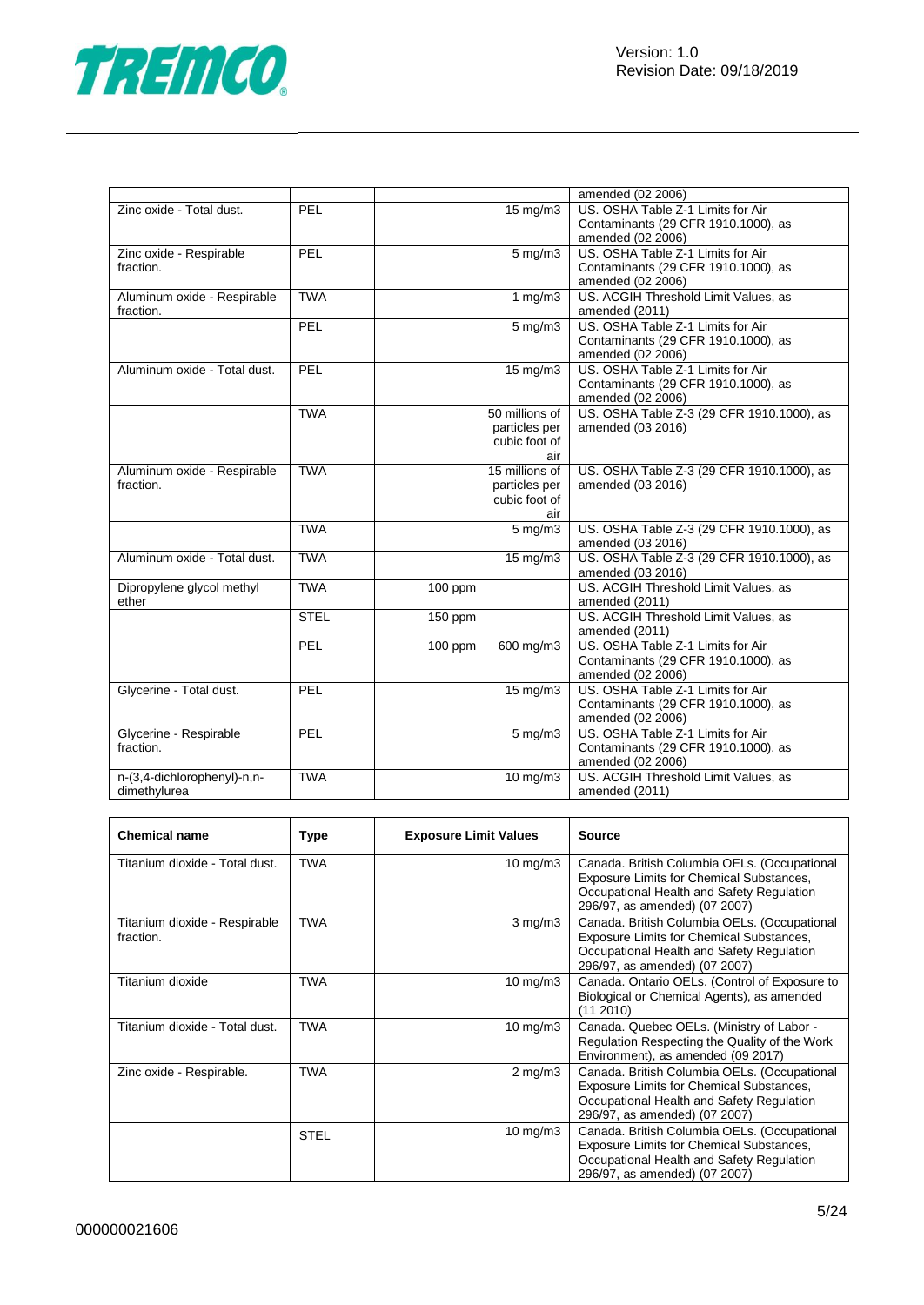

|                              |             |           |                               | amended (02 2006)                         |
|------------------------------|-------------|-----------|-------------------------------|-------------------------------------------|
| Zinc oxide - Total dust.     | PEL         |           | $15 \text{ mg/m}$             | US. OSHA Table Z-1 Limits for Air         |
|                              |             |           |                               | Contaminants (29 CFR 1910.1000), as       |
|                              |             |           |                               | amended (02 2006)                         |
| Zinc oxide - Respirable      | PEL         |           | $5$ mg/m $3$                  | US. OSHA Table Z-1 Limits for Air         |
| fraction.                    |             |           |                               | Contaminants (29 CFR 1910.1000), as       |
|                              |             |           |                               | amended (02 2006)                         |
| Aluminum oxide - Respirable  | <b>TWA</b>  |           | 1 $mg/m3$                     | US. ACGIH Threshold Limit Values, as      |
| fraction.                    |             |           |                               | amended (2011)                            |
|                              | PEL         |           | $5$ mg/m $3$                  | US. OSHA Table Z-1 Limits for Air         |
|                              |             |           |                               | Contaminants (29 CFR 1910.1000), as       |
|                              |             |           |                               | amended (02 2006)                         |
| Aluminum oxide - Total dust. | PEL         |           | $15 \text{ mg/m}$             | US. OSHA Table Z-1 Limits for Air         |
|                              |             |           |                               | Contaminants (29 CFR 1910.1000), as       |
|                              |             |           |                               | amended (02 2006)                         |
|                              | <b>TWA</b>  |           | 50 millions of                | US. OSHA Table Z-3 (29 CFR 1910.1000), as |
|                              |             |           | particles per                 | amended (03 2016)                         |
|                              |             |           | cubic foot of                 |                                           |
|                              |             |           | air                           |                                           |
| Aluminum oxide - Respirable  | <b>TWA</b>  |           | 15 millions of                | US. OSHA Table Z-3 (29 CFR 1910.1000), as |
| fraction.                    |             |           | particles per                 | amended (03 2016)                         |
|                              |             |           | cubic foot of                 |                                           |
|                              |             |           | air                           |                                           |
|                              | <b>TWA</b>  |           | $\frac{1}{5}$ mg/m3           | US. OSHA Table Z-3 (29 CFR 1910.1000), as |
|                              |             |           |                               | amended (03 2016)                         |
| Aluminum oxide - Total dust. | <b>TWA</b>  |           | 15 mg/m3                      | US. OSHA Table Z-3 (29 CFR 1910.1000), as |
|                              |             |           |                               | amended (03 2016)                         |
| Dipropylene glycol methyl    | <b>TWA</b>  | $100$ ppm |                               | US. ACGIH Threshold Limit Values, as      |
| ether                        |             |           |                               | amended (2011)                            |
|                              | <b>STEL</b> | 150 ppm   |                               | US. ACGIH Threshold Limit Values, as      |
|                              |             |           |                               | amended (2011)                            |
|                              | PEL         | $100$ ppm | $600$ mg/m3                   | US. OSHA Table Z-1 Limits for Air         |
|                              |             |           |                               | Contaminants (29 CFR 1910.1000), as       |
|                              |             |           |                               | amended (02 2006)                         |
| Glycerine - Total dust.      | PEL         |           | 15 mg/m3                      | US. OSHA Table Z-1 Limits for Air         |
|                              |             |           |                               | Contaminants (29 CFR 1910.1000), as       |
|                              |             |           |                               | amended (02 2006)                         |
| Glycerine - Respirable       | PEL         |           | $\overline{5 \text{ mg}}$ /m3 | US. OSHA Table Z-1 Limits for Air         |
| fraction.                    |             |           |                               | Contaminants (29 CFR 1910.1000), as       |
|                              |             |           |                               | amended (02 2006)                         |
| n-(3,4-dichlorophenyl)-n,n-  | <b>TWA</b>  |           | $10$ mg/m $3$                 | US. ACGIH Threshold Limit Values, as      |
| dimethylurea                 |             |           |                               | amended (2011)                            |

| <b>Chemical name</b>                       | Type        | <b>Exposure Limit Values</b> | <b>Source</b>                                                                                                                                                          |
|--------------------------------------------|-------------|------------------------------|------------------------------------------------------------------------------------------------------------------------------------------------------------------------|
| Titanium dioxide - Total dust.             | <b>TWA</b>  | $10 \text{ mg/m}$            | Canada. British Columbia OELs. (Occupational<br>Exposure Limits for Chemical Substances,<br>Occupational Health and Safety Regulation<br>296/97, as amended) (07 2007) |
| Titanium dioxide - Respirable<br>fraction. | <b>TWA</b>  | $3$ mg/m $3$                 | Canada. British Columbia OELs. (Occupational<br>Exposure Limits for Chemical Substances,<br>Occupational Health and Safety Regulation<br>296/97, as amended) (07 2007) |
| Titanium dioxide                           | <b>TWA</b>  | $10 \text{ mg/m}$            | Canada. Ontario OELs. (Control of Exposure to<br>Biological or Chemical Agents), as amended<br>(112010)                                                                |
| Titanium dioxide - Total dust.             | <b>TWA</b>  | $10 \text{ mg/m}$            | Canada. Quebec OELs. (Ministry of Labor -<br>Regulation Respecting the Quality of the Work<br>Environment), as amended (09 2017)                                       |
| Zinc oxide - Respirable.                   | TWA         | $2 \text{ mg/m}$             | Canada. British Columbia OELs. (Occupational<br>Exposure Limits for Chemical Substances,<br>Occupational Health and Safety Regulation<br>296/97, as amended) (07 2007) |
|                                            | <b>STEL</b> | $10 \text{ mg/m}$            | Canada. British Columbia OELs. (Occupational<br>Exposure Limits for Chemical Substances,<br>Occupational Health and Safety Regulation<br>296/97, as amended) (07 2007) |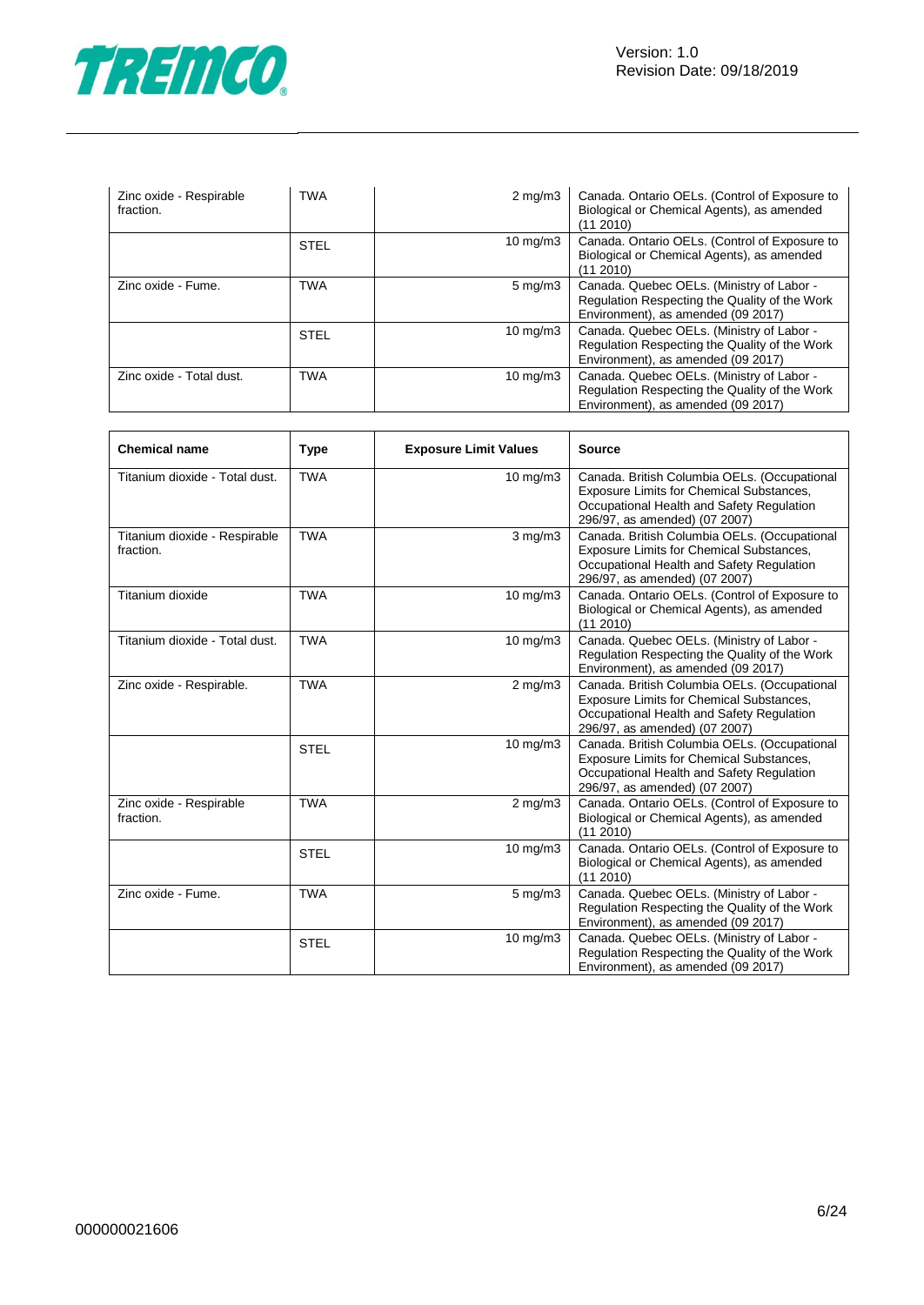

| Zinc oxide - Respirable<br>fraction. | TWA         | $2 \text{ mg/m}$  | Canada. Ontario OELs. (Control of Exposure to<br>Biological or Chemical Agents), as amended<br>(11 2010)                         |
|--------------------------------------|-------------|-------------------|----------------------------------------------------------------------------------------------------------------------------------|
|                                      | <b>STEL</b> | $10 \text{ mg/m}$ | Canada. Ontario OELs. (Control of Exposure to<br>Biological or Chemical Agents), as amended<br>(11 2010)                         |
| Zinc oxide - Fume.                   | <b>TWA</b>  | $5 \text{ mg/m}$  | Canada. Quebec OELs. (Ministry of Labor -<br>Regulation Respecting the Quality of the Work<br>Environment), as amended (09 2017) |
|                                      | <b>STEL</b> | $10 \text{ mg/m}$ | Canada. Quebec OELs. (Ministry of Labor -<br>Regulation Respecting the Quality of the Work<br>Environment), as amended (09 2017) |
| Zinc oxide - Total dust.             | TWA         | 10 mg/m $3$       | Canada. Quebec OELs. (Ministry of Labor -<br>Regulation Respecting the Quality of the Work<br>Environment), as amended (09 2017) |

| <b>Chemical name</b>                       | <b>Type</b> | <b>Exposure Limit Values</b>                                                                                                                                                           | <b>Source</b>                                                                                                                                                          |
|--------------------------------------------|-------------|----------------------------------------------------------------------------------------------------------------------------------------------------------------------------------------|------------------------------------------------------------------------------------------------------------------------------------------------------------------------|
| Titanium dioxide - Total dust.             | <b>TWA</b>  | $10$ mg/m $3$                                                                                                                                                                          | Canada. British Columbia OELs. (Occupational<br>Exposure Limits for Chemical Substances,<br>Occupational Health and Safety Regulation<br>296/97, as amended) (07 2007) |
| Titanium dioxide - Respirable<br>fraction. | <b>TWA</b>  | Canada. British Columbia OELs. (Occupational<br>$3$ mg/m $3$<br>Exposure Limits for Chemical Substances,<br>Occupational Health and Safety Regulation<br>296/97, as amended) (07 2007) |                                                                                                                                                                        |
| Titanium dioxide                           | <b>TWA</b>  | 10 mg/m3                                                                                                                                                                               | Canada. Ontario OELs. (Control of Exposure to<br>Biological or Chemical Agents), as amended<br>(11 2010)                                                               |
| Titanium dioxide - Total dust.             | <b>TWA</b>  | $10$ mg/m $3$                                                                                                                                                                          | Canada. Quebec OELs. (Ministry of Labor -<br>Regulation Respecting the Quality of the Work<br>Environment), as amended (09 2017)                                       |
| Zinc oxide - Respirable.                   | <b>TWA</b>  | $2$ mg/m $3$                                                                                                                                                                           | Canada. British Columbia OELs. (Occupational<br>Exposure Limits for Chemical Substances,<br>Occupational Health and Safety Regulation<br>296/97, as amended) (07 2007) |
|                                            | <b>STEL</b> | $10 \text{ mg/m}$ 3                                                                                                                                                                    | Canada. British Columbia OELs. (Occupational<br>Exposure Limits for Chemical Substances,<br>Occupational Health and Safety Regulation<br>296/97, as amended) (07 2007) |
| Zinc oxide - Respirable<br>fraction.       | <b>TWA</b>  | $2$ mg/m $3$                                                                                                                                                                           | Canada. Ontario OELs. (Control of Exposure to<br>Biological or Chemical Agents), as amended<br>(11 2010)                                                               |
|                                            | <b>STEL</b> | $10$ mg/m $3$                                                                                                                                                                          | Canada. Ontario OELs. (Control of Exposure to<br>Biological or Chemical Agents), as amended<br>(11 2010)                                                               |
| Zinc oxide - Fume.                         | <b>TWA</b>  | $5$ mg/m $3$                                                                                                                                                                           | Canada. Quebec OELs. (Ministry of Labor -<br>Regulation Respecting the Quality of the Work<br>Environment), as amended (09 2017)                                       |
|                                            | <b>STEL</b> | 10 mg/m3                                                                                                                                                                               | Canada. Quebec OELs. (Ministry of Labor -<br>Regulation Respecting the Quality of the Work<br>Environment), as amended (09 2017)                                       |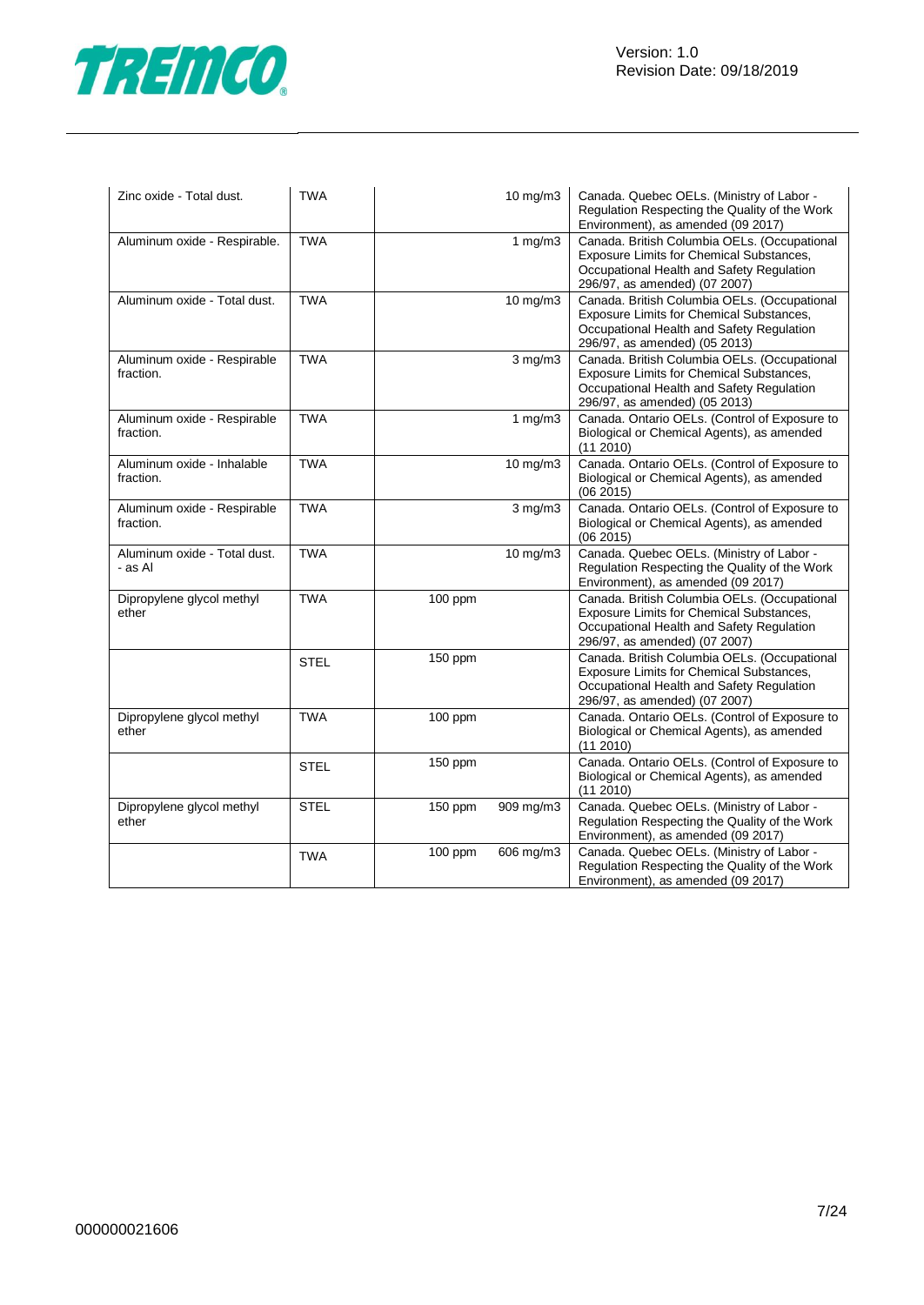



| Zinc oxide - Total dust.                 | <b>TWA</b>  |         | 10 mg/m3     | Canada. Quebec OELs. (Ministry of Labor -<br>Regulation Respecting the Quality of the Work<br>Environment), as amended (09 2017)                                       |
|------------------------------------------|-------------|---------|--------------|------------------------------------------------------------------------------------------------------------------------------------------------------------------------|
| Aluminum oxide - Respirable.             | <b>TWA</b>  |         | 1 $mg/m3$    | Canada. British Columbia OELs. (Occupational<br>Exposure Limits for Chemical Substances,<br>Occupational Health and Safety Regulation<br>296/97, as amended) (07 2007) |
| Aluminum oxide - Total dust.             | <b>TWA</b>  |         | 10 mg/m3     | Canada. British Columbia OELs. (Occupational<br>Exposure Limits for Chemical Substances,<br>Occupational Health and Safety Regulation<br>296/97, as amended) (05 2013) |
| Aluminum oxide - Respirable<br>fraction. | <b>TWA</b>  |         | $3$ mg/m $3$ | Canada. British Columbia OELs. (Occupational<br>Exposure Limits for Chemical Substances,<br>Occupational Health and Safety Regulation<br>296/97, as amended) (05 2013) |
| Aluminum oxide - Respirable<br>fraction. | <b>TWA</b>  |         | 1 $mg/m3$    | Canada. Ontario OELs. (Control of Exposure to<br>Biological or Chemical Agents), as amended<br>(11 2010)                                                               |
| Aluminum oxide - Inhalable<br>fraction.  | <b>TWA</b>  |         | 10 mg/m3     | Canada. Ontario OELs. (Control of Exposure to<br>Biological or Chemical Agents), as amended<br>(06 2015)                                                               |
| Aluminum oxide - Respirable<br>fraction. | <b>TWA</b>  |         | $3$ mg/m $3$ | Canada. Ontario OELs. (Control of Exposure to<br>Biological or Chemical Agents), as amended<br>(062015)                                                                |
| Aluminum oxide - Total dust.<br>- as Al  | <b>TWA</b>  |         | 10 mg/m3     | Canada. Quebec OELs. (Ministry of Labor -<br>Regulation Respecting the Quality of the Work<br>Environment), as amended (09 2017)                                       |
| Dipropylene glycol methyl<br>ether       | <b>TWA</b>  | 100 ppm |              | Canada. British Columbia OELs. (Occupational<br>Exposure Limits for Chemical Substances,<br>Occupational Health and Safety Regulation<br>296/97, as amended) (07 2007) |
|                                          | <b>STEL</b> | 150 ppm |              | Canada. British Columbia OELs. (Occupational<br>Exposure Limits for Chemical Substances,<br>Occupational Health and Safety Regulation<br>296/97, as amended) (07 2007) |
| Dipropylene glycol methyl<br>ether       | <b>TWA</b>  | 100 ppm |              | Canada. Ontario OELs. (Control of Exposure to<br>Biological or Chemical Agents), as amended<br>(11 2010)                                                               |
|                                          | <b>STEL</b> | 150 ppm |              | Canada. Ontario OELs. (Control of Exposure to<br>Biological or Chemical Agents), as amended<br>$(11\ 2010)$                                                            |
| Dipropylene glycol methyl<br>ether       | STEL        | 150 ppm | 909 mg/m3    | Canada. Quebec OELs. (Ministry of Labor -<br>Regulation Respecting the Quality of the Work<br>Environment), as amended (09 2017)                                       |
|                                          | <b>TWA</b>  | 100 ppm | 606 mg/m3    | Canada. Quebec OELs. (Ministry of Labor -<br>Regulation Respecting the Quality of the Work<br>Environment), as amended (09 2017)                                       |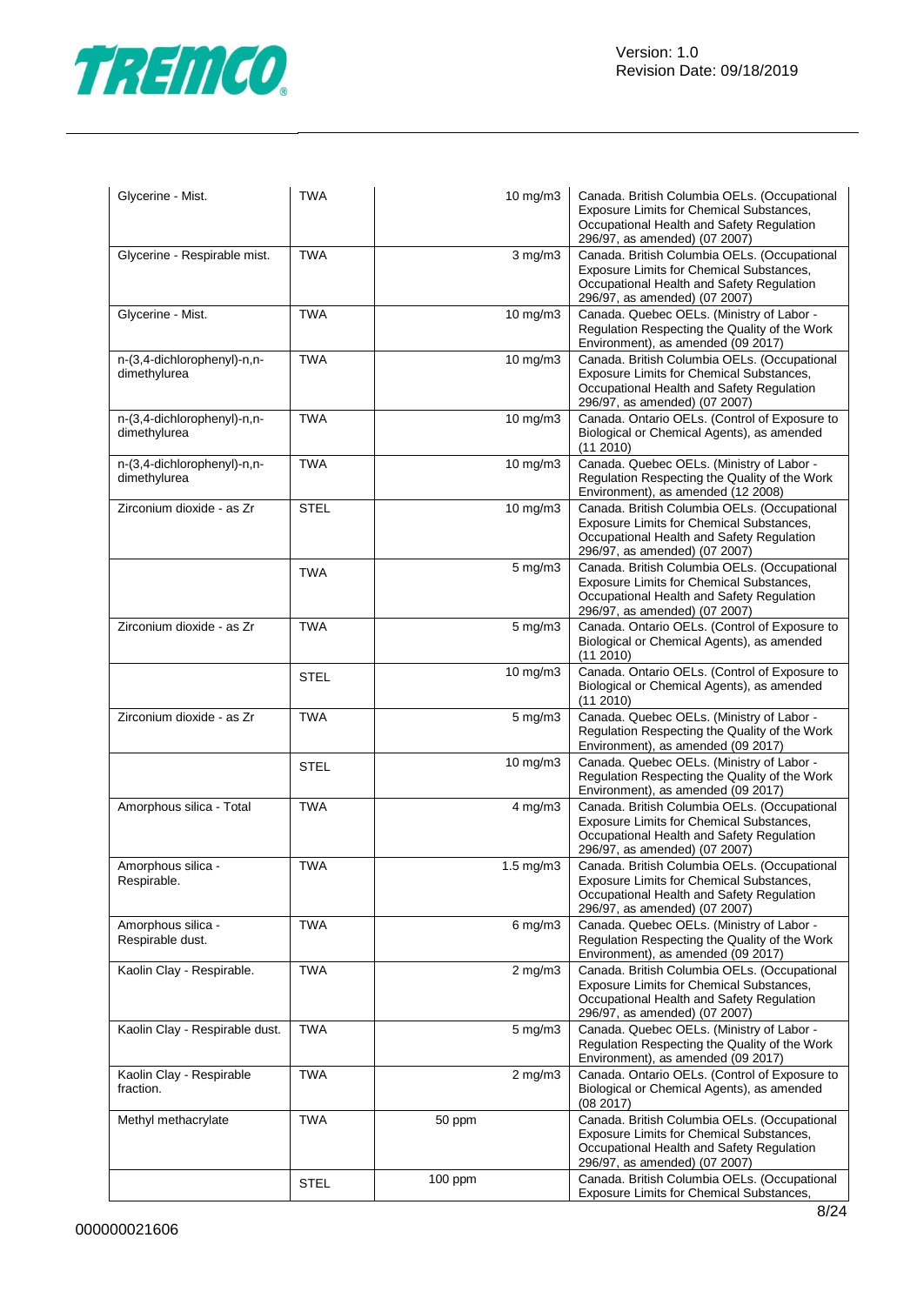

| Glycerine - Mist.                           | <b>TWA</b>  | 10 mg/m3             | Canada. British Columbia OELs. (Occupational<br>Exposure Limits for Chemical Substances,<br>Occupational Health and Safety Regulation<br>296/97, as amended) (07 2007) |
|---------------------------------------------|-------------|----------------------|------------------------------------------------------------------------------------------------------------------------------------------------------------------------|
| Glycerine - Respirable mist.                | <b>TWA</b>  | $3$ mg/m $3$         | Canada. British Columbia OELs. (Occupational<br>Exposure Limits for Chemical Substances,<br>Occupational Health and Safety Regulation<br>296/97, as amended) (07 2007) |
| Glycerine - Mist.                           | <b>TWA</b>  | 10 mg/m3             | Canada. Quebec OELs. (Ministry of Labor -<br>Regulation Respecting the Quality of the Work<br>Environment), as amended (09 2017)                                       |
| n-(3,4-dichlorophenyl)-n,n-<br>dimethylurea | <b>TWA</b>  | 10 mg/m3             | Canada. British Columbia OELs. (Occupational<br>Exposure Limits for Chemical Substances,<br>Occupational Health and Safety Regulation<br>296/97, as amended) (07 2007) |
| n-(3,4-dichlorophenyl)-n,n-<br>dimethylurea | <b>TWA</b>  | 10 mg/m3             | Canada. Ontario OELs. (Control of Exposure to<br>Biological or Chemical Agents), as amended<br>(11 2010)                                                               |
| n-(3,4-dichlorophenyl)-n,n-<br>dimethylurea | <b>TWA</b>  | 10 mg/m3             | Canada. Quebec OELs. (Ministry of Labor -<br>Regulation Respecting the Quality of the Work<br>Environment), as amended (12 2008)                                       |
| Zirconium dioxide - as Zr                   | <b>STEL</b> | 10 mg/m3             | Canada. British Columbia OELs. (Occupational<br>Exposure Limits for Chemical Substances,<br>Occupational Health and Safety Regulation<br>296/97, as amended) (07 2007) |
|                                             | <b>TWA</b>  | $5$ mg/m $3$         | Canada. British Columbia OELs. (Occupational<br>Exposure Limits for Chemical Substances,<br>Occupational Health and Safety Regulation<br>296/97, as amended) (07 2007) |
| Zirconium dioxide - as Zr                   | <b>TWA</b>  | $5 \text{ mg/m}$     | Canada. Ontario OELs. (Control of Exposure to<br>Biological or Chemical Agents), as amended<br>(112010)                                                                |
|                                             | <b>STEL</b> | 10 mg/m3             | Canada. Ontario OELs. (Control of Exposure to<br>Biological or Chemical Agents), as amended<br>(11 2010)                                                               |
| Zirconium dioxide - as Zr                   | <b>TWA</b>  | $5$ mg/m $3$         | Canada. Quebec OELs. (Ministry of Labor -<br>Regulation Respecting the Quality of the Work<br>Environment), as amended (09 2017)                                       |
|                                             | STEL        | 10 mg/m3             | Canada. Quebec OELs. (Ministry of Labor -<br>Regulation Respecting the Quality of the Work<br>Environment), as amended (09 2017)                                       |
| Amorphous silica - Total                    | <b>TWA</b>  | $4$ mg/m $3$         | Canada. British Columbia OELs. (Occupational<br>Exposure Limits for Chemical Substances,<br>Occupational Health and Safety Regulation<br>296/97, as amended) (07 2007) |
| Amorphous silica -<br>Respirable.           | <b>TWA</b>  | $1.5 \text{ mg/m}$ 3 | Canada. British Columbia OELs. (Occupational<br>Exposure Limits for Chemical Substances,<br>Occupational Health and Safety Regulation<br>296/97, as amended) (07 2007) |
| Amorphous silica -<br>Respirable dust.      | <b>TWA</b>  | $6$ mg/m $3$         | Canada. Quebec OELs. (Ministry of Labor -<br>Regulation Respecting the Quality of the Work<br>Environment), as amended (09 2017)                                       |
| Kaolin Clay - Respirable.                   | <b>TWA</b>  | $2$ mg/m $3$         | Canada. British Columbia OELs. (Occupational<br>Exposure Limits for Chemical Substances,<br>Occupational Health and Safety Regulation<br>296/97, as amended) (07 2007) |
| Kaolin Clay - Respirable dust.              | <b>TWA</b>  | $5$ mg/m $3$         | Canada. Quebec OELs. (Ministry of Labor -<br>Regulation Respecting the Quality of the Work<br>Environment), as amended (09 2017)                                       |
| Kaolin Clay - Respirable<br>fraction.       | <b>TWA</b>  | $2$ mg/m $3$         | Canada. Ontario OELs. (Control of Exposure to<br>Biological or Chemical Agents), as amended<br>(08 2017)                                                               |
| Methyl methacrylate                         | <b>TWA</b>  | 50 ppm               | Canada. British Columbia OELs. (Occupational<br>Exposure Limits for Chemical Substances,<br>Occupational Health and Safety Regulation<br>296/97, as amended) (07 2007) |
|                                             | <b>STEL</b> | 100 ppm              | Canada. British Columbia OELs. (Occupational<br>Exposure Limits for Chemical Substances,                                                                               |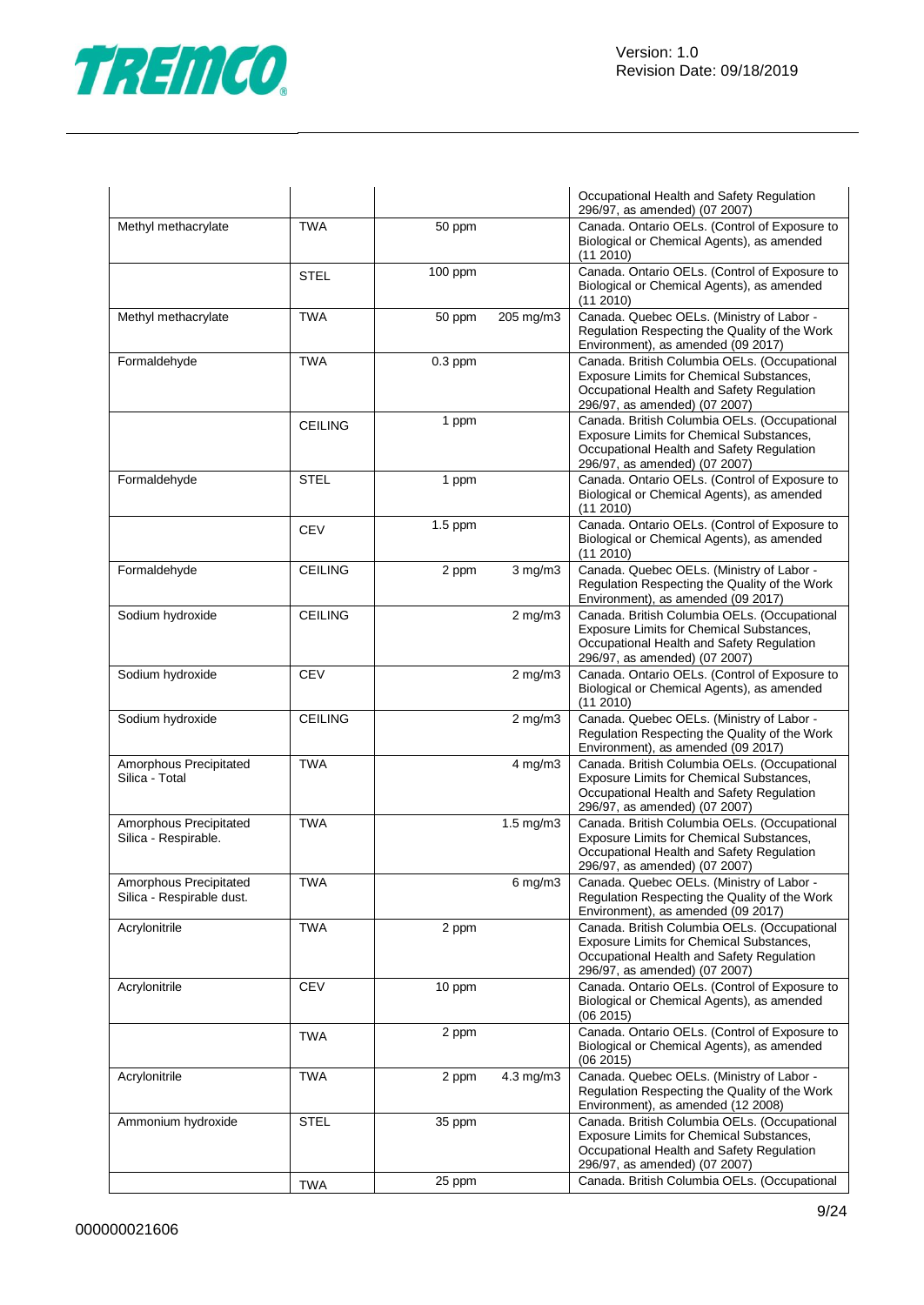

|                                                     |                |           |                      | Occupational Health and Safety Regulation<br>296/97, as amended) (07 2007)                                                                                             |
|-----------------------------------------------------|----------------|-----------|----------------------|------------------------------------------------------------------------------------------------------------------------------------------------------------------------|
| Methyl methacrylate                                 | <b>TWA</b>     | 50 ppm    |                      | Canada. Ontario OELs. (Control of Exposure to<br>Biological or Chemical Agents), as amended<br>(11 2010)                                                               |
|                                                     | <b>STEL</b>    | 100 ppm   |                      | Canada. Ontario OELs. (Control of Exposure to<br>Biological or Chemical Agents), as amended<br>(11 2010)                                                               |
| Methyl methacrylate                                 | <b>TWA</b>     | 50 ppm    | 205 mg/m3            | Canada. Quebec OELs. (Ministry of Labor -<br>Regulation Respecting the Quality of the Work<br>Environment), as amended (09 2017)                                       |
| Formaldehyde                                        | <b>TWA</b>     | $0.3$ ppm |                      | Canada. British Columbia OELs. (Occupational<br>Exposure Limits for Chemical Substances,<br>Occupational Health and Safety Regulation<br>296/97, as amended) (07 2007) |
|                                                     | <b>CEILING</b> | 1 ppm     |                      | Canada. British Columbia OELs. (Occupational<br>Exposure Limits for Chemical Substances,<br>Occupational Health and Safety Regulation<br>296/97, as amended) (07 2007) |
| Formaldehyde                                        | STEL           | 1 ppm     |                      | Canada. Ontario OELs. (Control of Exposure to<br>Biological or Chemical Agents), as amended<br>(112010)                                                                |
|                                                     | <b>CEV</b>     | $1.5$ ppm |                      | Canada. Ontario OELs. (Control of Exposure to<br>Biological or Chemical Agents), as amended<br>(11 2010)                                                               |
| Formaldehyde                                        | <b>CEILING</b> | 2 ppm     | $3$ mg/m $3$         | Canada. Quebec OELs. (Ministry of Labor -<br>Regulation Respecting the Quality of the Work<br>Environment), as amended (09 2017)                                       |
| Sodium hydroxide                                    | <b>CEILING</b> |           | $2$ mg/m $3$         | Canada. British Columbia OELs. (Occupational<br>Exposure Limits for Chemical Substances,<br>Occupational Health and Safety Regulation<br>296/97, as amended) (07 2007) |
| Sodium hydroxide                                    | <b>CEV</b>     |           | $2$ mg/m $3$         | Canada. Ontario OELs. (Control of Exposure to<br>Biological or Chemical Agents), as amended<br>(11 2010)                                                               |
| Sodium hydroxide                                    | <b>CEILING</b> |           | $2$ mg/m $3$         | Canada. Quebec OELs. (Ministry of Labor -<br>Regulation Respecting the Quality of the Work<br>Environment), as amended (09 2017)                                       |
| Amorphous Precipitated<br>Silica - Total            | <b>TWA</b>     |           | 4 mg/m3              | Canada. British Columbia OELs. (Occupational<br>Exposure Limits for Chemical Substances,<br>Occupational Health and Safety Regulation<br>296/97, as amended) (07 2007) |
| Amorphous Precipitated<br>Silica - Respirable.      | <b>TWA</b>     |           | $1.5$ mg/m $3$       | Canada. British Columbia OELs. (Occupational<br>Exposure Limits for Chemical Substances,<br>Occupational Health and Safety Regulation<br>296/97, as amended) (07 2007) |
| Amorphous Precipitated<br>Silica - Respirable dust. | <b>TWA</b>     |           | 6 mg/m3              | Canada. Quebec OELs. (Ministry of Labor -<br>Regulation Respecting the Quality of the Work<br>Environment), as amended (09 2017)                                       |
| Acrylonitrile                                       | <b>TWA</b>     | 2 ppm     |                      | Canada. British Columbia OELs. (Occupational<br>Exposure Limits for Chemical Substances,<br>Occupational Health and Safety Regulation<br>296/97, as amended) (07 2007) |
| Acrylonitrile                                       | <b>CEV</b>     | 10 ppm    |                      | Canada. Ontario OELs. (Control of Exposure to<br>Biological or Chemical Agents), as amended<br>(06 2015)                                                               |
|                                                     | <b>TWA</b>     | 2 ppm     |                      | Canada. Ontario OELs. (Control of Exposure to<br>Biological or Chemical Agents), as amended<br>(062015)                                                                |
| Acrylonitrile                                       | <b>TWA</b>     | 2 ppm     | $4.3 \text{ mg/m}$ 3 | Canada. Quebec OELs. (Ministry of Labor -<br>Regulation Respecting the Quality of the Work<br>Environment), as amended (12 2008)                                       |
| Ammonium hydroxide                                  | <b>STEL</b>    | 35 ppm    |                      | Canada. British Columbia OELs. (Occupational<br>Exposure Limits for Chemical Substances,<br>Occupational Health and Safety Regulation<br>296/97, as amended) (07 2007) |
|                                                     | <b>TWA</b>     | 25 ppm    |                      | Canada. British Columbia OELs. (Occupational                                                                                                                           |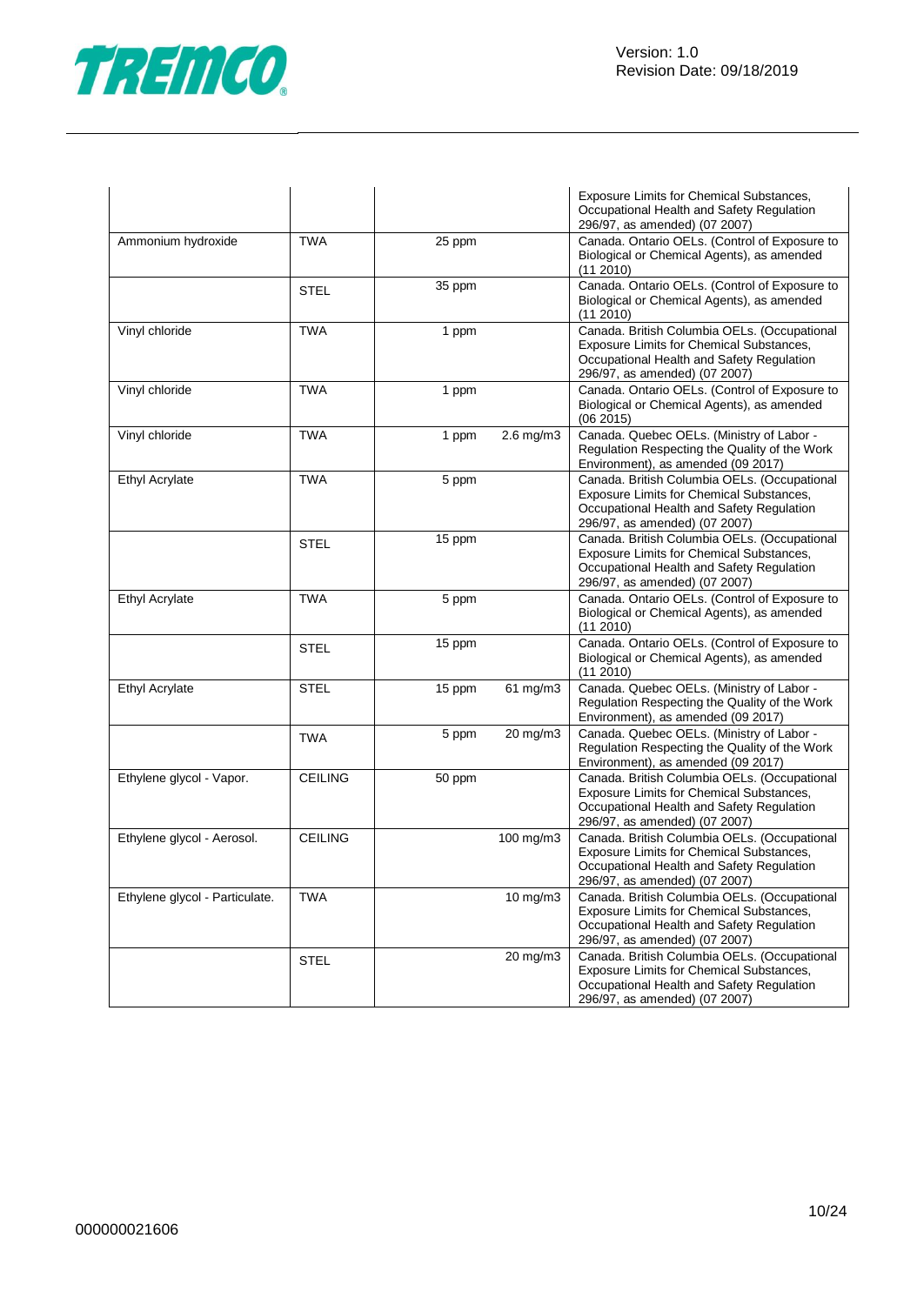

|                                |                |        |                | Exposure Limits for Chemical Substances,<br>Occupational Health and Safety Regulation<br>296/97, as amended) (07 2007)                                                 |
|--------------------------------|----------------|--------|----------------|------------------------------------------------------------------------------------------------------------------------------------------------------------------------|
| Ammonium hydroxide             | <b>TWA</b>     | 25 ppm |                | Canada. Ontario OELs. (Control of Exposure to<br>Biological or Chemical Agents), as amended<br>(112010)                                                                |
|                                | <b>STEL</b>    | 35 ppm |                | Canada. Ontario OELs. (Control of Exposure to<br>Biological or Chemical Agents), as amended<br>(11 2010)                                                               |
| Vinyl chloride                 | <b>TWA</b>     | 1 ppm  |                | Canada. British Columbia OELs. (Occupational<br>Exposure Limits for Chemical Substances,<br>Occupational Health and Safety Regulation<br>296/97, as amended) (07 2007) |
| Vinyl chloride                 | <b>TWA</b>     | 1 ppm  |                | Canada. Ontario OELs. (Control of Exposure to<br>Biological or Chemical Agents), as amended<br>(062015)                                                                |
| Vinyl chloride                 | <b>TWA</b>     | 1 ppm  | $2.6$ mg/m $3$ | Canada. Quebec OELs. (Ministry of Labor -<br>Regulation Respecting the Quality of the Work<br>Environment), as amended (09 2017)                                       |
| Ethyl Acrylate                 | <b>TWA</b>     | 5 ppm  |                | Canada. British Columbia OELs. (Occupational<br>Exposure Limits for Chemical Substances,<br>Occupational Health and Safety Regulation<br>296/97, as amended) (07 2007) |
|                                | <b>STEL</b>    | 15 ppm |                | Canada. British Columbia OELs. (Occupational<br>Exposure Limits for Chemical Substances,<br>Occupational Health and Safety Regulation<br>296/97, as amended) (07 2007) |
| <b>Ethyl Acrylate</b>          | <b>TWA</b>     | 5 ppm  |                | Canada. Ontario OELs. (Control of Exposure to<br>Biological or Chemical Agents), as amended<br>(11 2010)                                                               |
|                                | <b>STEL</b>    | 15 ppm |                | Canada. Ontario OELs. (Control of Exposure to<br>Biological or Chemical Agents), as amended<br>(112010)                                                                |
| Ethyl Acrylate                 | STEL           | 15 ppm | 61 mg/m3       | Canada. Quebec OELs. (Ministry of Labor -<br>Regulation Respecting the Quality of the Work<br>Environment), as amended (09 2017)                                       |
|                                | <b>TWA</b>     | 5 ppm  | 20 mg/m3       | Canada. Quebec OELs. (Ministry of Labor -<br>Regulation Respecting the Quality of the Work<br>Environment), as amended (09 2017)                                       |
| Ethylene glycol - Vapor.       | <b>CEILING</b> | 50 ppm |                | Canada. British Columbia OELs. (Occupational<br>Exposure Limits for Chemical Substances,<br>Occupational Health and Safety Regulation<br>296/97, as amended) (07 2007) |
| Ethylene glycol - Aerosol.     | <b>CEILING</b> |        | 100 mg/m3      | Canada. British Columbia OELs. (Occupational<br>Exposure Limits for Chemical Substances,<br>Occupational Health and Safety Regulation<br>296/97, as amended) (07 2007) |
| Ethylene glycol - Particulate. | <b>TWA</b>     |        | 10 mg/m3       | Canada. British Columbia OELs. (Occupational<br>Exposure Limits for Chemical Substances,<br>Occupational Health and Safety Regulation<br>296/97, as amended) (07 2007) |
|                                | <b>STEL</b>    |        | 20 mg/m3       | Canada. British Columbia OELs. (Occupational<br>Exposure Limits for Chemical Substances,<br>Occupational Health and Safety Regulation<br>296/97, as amended) (07 2007) |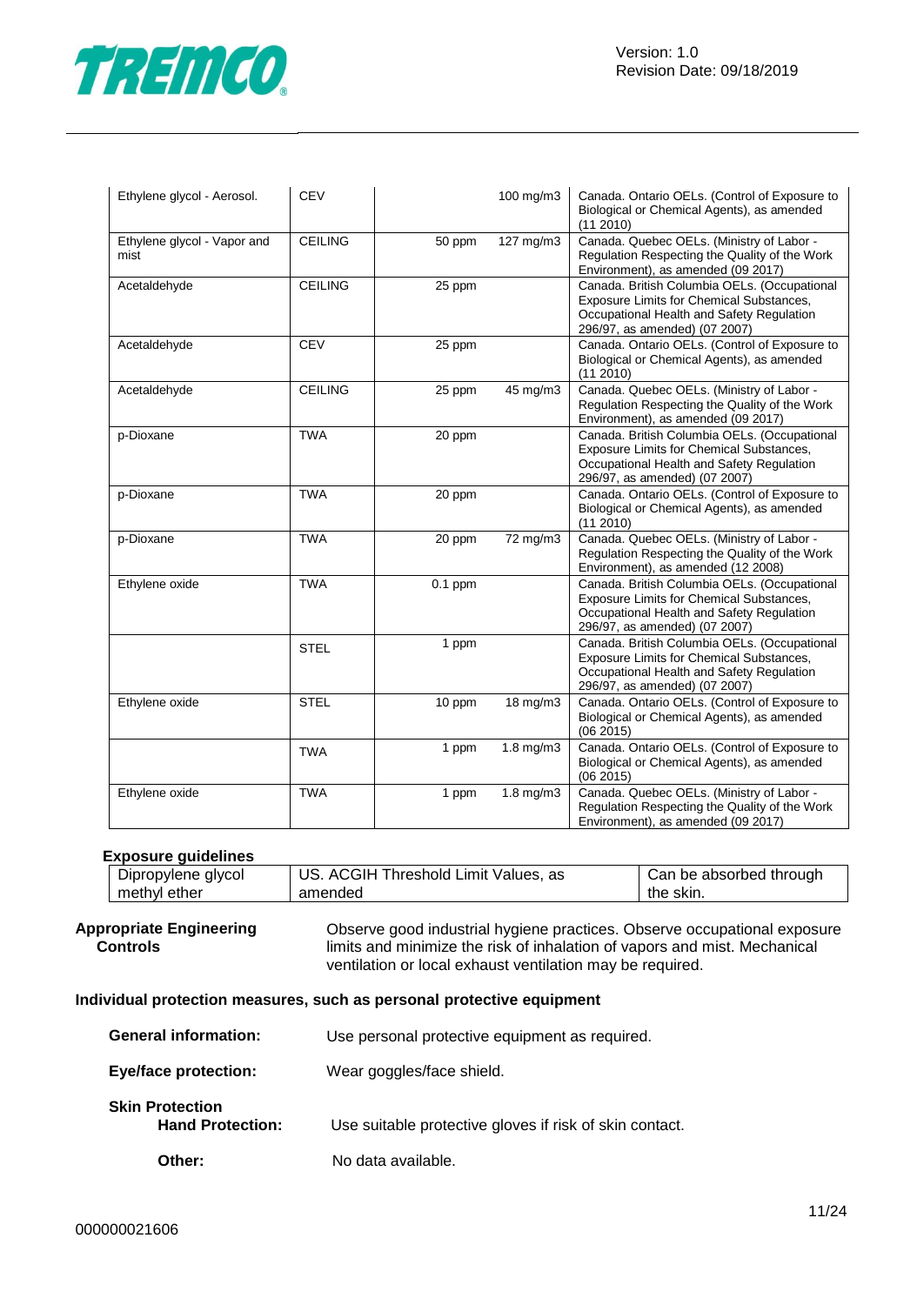

| Ethylene glycol - Aerosol.          | <b>CEV</b>     |           | 100 mg/m3         | Canada. Ontario OELs. (Control of Exposure to<br>Biological or Chemical Agents), as amended<br>(112010)                                                                |
|-------------------------------------|----------------|-----------|-------------------|------------------------------------------------------------------------------------------------------------------------------------------------------------------------|
| Ethylene glycol - Vapor and<br>mist | <b>CEILING</b> | 50 ppm    | 127 mg/m3         | Canada. Quebec OELs. (Ministry of Labor -<br>Regulation Respecting the Quality of the Work<br>Environment), as amended (09 2017)                                       |
| Acetaldehyde                        | <b>CEILING</b> | 25 ppm    |                   | Canada. British Columbia OELs. (Occupational<br>Exposure Limits for Chemical Substances,<br>Occupational Health and Safety Regulation<br>296/97, as amended) (07 2007) |
| Acetaldehyde                        | <b>CEV</b>     | 25 ppm    |                   | Canada. Ontario OELs. (Control of Exposure to<br>Biological or Chemical Agents), as amended<br>(11 2010)                                                               |
| Acetaldehyde                        | <b>CEILING</b> | 25 ppm    | 45 mg/m3          | Canada. Quebec OELs. (Ministry of Labor -<br>Regulation Respecting the Quality of the Work<br>Environment), as amended (09 2017)                                       |
| p-Dioxane                           | <b>TWA</b>     | 20 ppm    |                   | Canada. British Columbia OELs. (Occupational<br>Exposure Limits for Chemical Substances,<br>Occupational Health and Safety Regulation<br>296/97, as amended) (07 2007) |
| p-Dioxane                           | <b>TWA</b>     | 20 ppm    |                   | Canada. Ontario OELs. (Control of Exposure to<br>Biological or Chemical Agents), as amended<br>$(11\ 2010)$                                                            |
| p-Dioxane                           | <b>TWA</b>     | 20 ppm    | 72 mg/m3          | Canada. Quebec OELs. (Ministry of Labor -<br>Regulation Respecting the Quality of the Work<br>Environment), as amended (12 2008)                                       |
| Ethylene oxide                      | <b>TWA</b>     | $0.1$ ppm |                   | Canada. British Columbia OELs. (Occupational<br>Exposure Limits for Chemical Substances,<br>Occupational Health and Safety Regulation<br>296/97, as amended) (07 2007) |
|                                     | <b>STEL</b>    | 1 ppm     |                   | Canada. British Columbia OELs. (Occupational<br>Exposure Limits for Chemical Substances,<br>Occupational Health and Safety Regulation<br>296/97, as amended) (07 2007) |
| Ethylene oxide                      | <b>STEL</b>    | 10 ppm    | $18 \text{ mg/m}$ | Canada. Ontario OELs. (Control of Exposure to<br>Biological or Chemical Agents), as amended<br>(062015)                                                                |
|                                     | <b>TWA</b>     | 1 ppm     | 1.8 mg/m3         | Canada. Ontario OELs. (Control of Exposure to<br>Biological or Chemical Agents), as amended<br>(06 2015)                                                               |
| Ethylene oxide                      | <b>TWA</b>     | 1 ppm     | $1.8$ mg/m $3$    | Canada. Quebec OELs. (Ministry of Labor -<br>Regulation Respecting the Quality of the Work<br>Environment), as amended (09 2017)                                       |

#### **Exposure guidelines**

| Dipropylene glycol | US. ACGIH Threshold Limit Values, as | Can be absorbed through |
|--------------------|--------------------------------------|-------------------------|
| methyl ether       | amended                              | the skin.               |

#### **Appropriate Engineering Controls** Observe good industrial hygiene practices. Observe occupational exposure limits and minimize the risk of inhalation of vapors and mist. Mechanical ventilation or local exhaust ventilation may be required.

#### **Individual protection measures, such as personal protective equipment**

| <b>General information:</b>                       | Use personal protective equipment as required.          |
|---------------------------------------------------|---------------------------------------------------------|
| <b>Eye/face protection:</b>                       | Wear goggles/face shield.                               |
| <b>Skin Protection</b><br><b>Hand Protection:</b> | Use suitable protective gloves if risk of skin contact. |
| Other:                                            | No data available.                                      |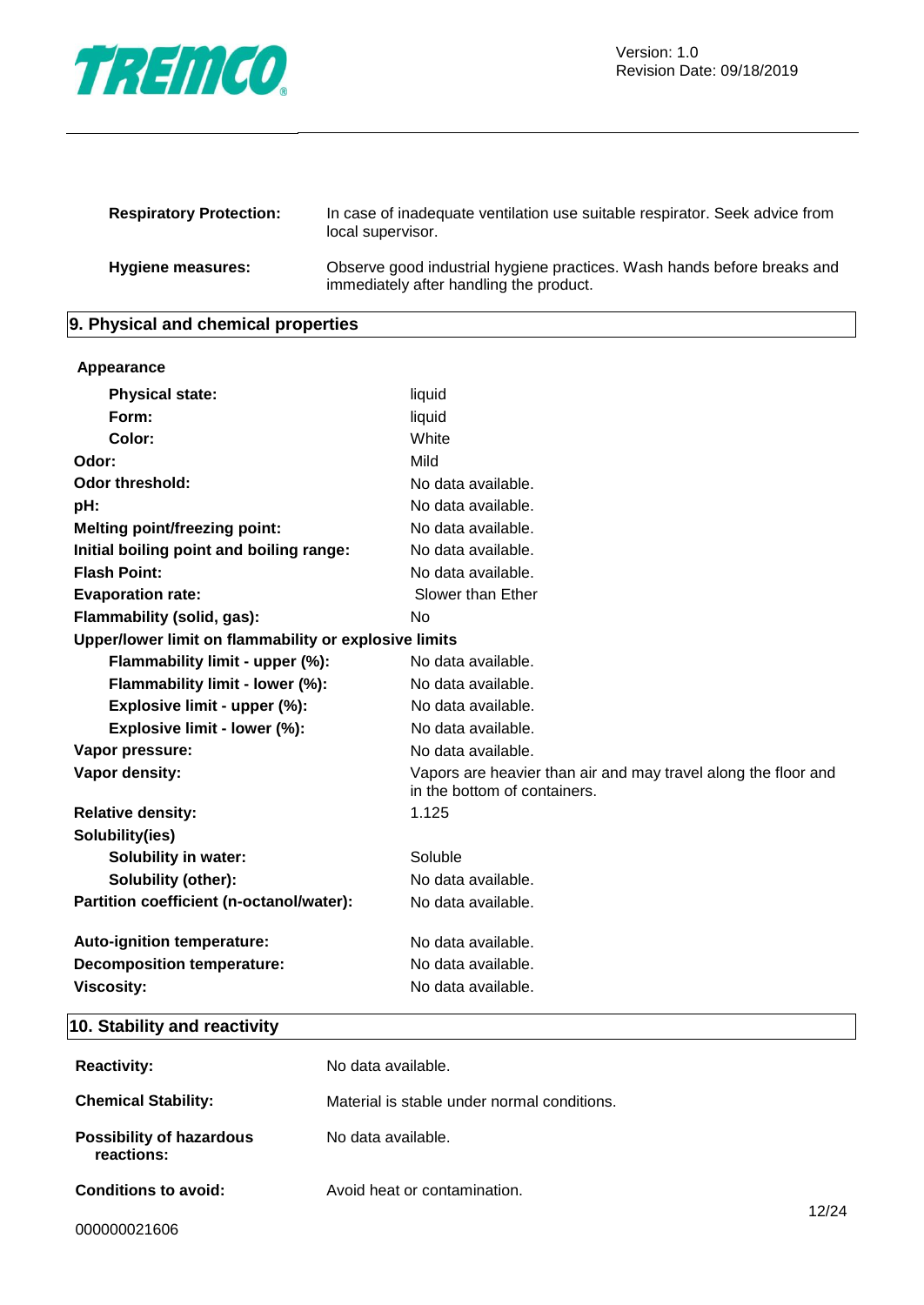

| <b>Respiratory Protection:</b> | In case of inadequate ventilation use suitable respirator. Seek advice from<br>local supervisor.                   |
|--------------------------------|--------------------------------------------------------------------------------------------------------------------|
| Hygiene measures:              | Observe good industrial hygiene practices. Wash hands before breaks and<br>immediately after handling the product. |

## **9. Physical and chemical properties**

#### **Appearance**

| <b>Physical state:</b>                                | liquid                                                                                         |
|-------------------------------------------------------|------------------------------------------------------------------------------------------------|
| Form:                                                 | liquid                                                                                         |
| Color:                                                | White                                                                                          |
| Odor:                                                 | Mild                                                                                           |
| Odor threshold:                                       | No data available.                                                                             |
| pH:                                                   | No data available.                                                                             |
| <b>Melting point/freezing point:</b>                  | No data available.                                                                             |
| Initial boiling point and boiling range:              | No data available.                                                                             |
| <b>Flash Point:</b>                                   | No data available.                                                                             |
| <b>Evaporation rate:</b>                              | Slower than Ether                                                                              |
| Flammability (solid, gas):                            | N <sub>o</sub>                                                                                 |
| Upper/lower limit on flammability or explosive limits |                                                                                                |
| Flammability limit - upper (%):                       | No data available.                                                                             |
| Flammability limit - lower (%):                       | No data available.                                                                             |
| Explosive limit - upper (%):                          | No data available.                                                                             |
| Explosive limit - lower (%):                          | No data available.                                                                             |
| Vapor pressure:                                       | No data available.                                                                             |
| Vapor density:                                        | Vapors are heavier than air and may travel along the floor and<br>in the bottom of containers. |
| <b>Relative density:</b>                              | 1.125                                                                                          |
| Solubility(ies)                                       |                                                                                                |
| <b>Solubility in water:</b>                           | Soluble                                                                                        |
| <b>Solubility (other):</b>                            | No data available.                                                                             |
| Partition coefficient (n-octanol/water):              | No data available.                                                                             |
| Auto-ignition temperature:                            | No data available.                                                                             |
| <b>Decomposition temperature:</b>                     | No data available.                                                                             |
| <b>Viscosity:</b>                                     | No data available.                                                                             |

## **10. Stability and reactivity**

| <b>Reactivity:</b>                            | No data available.                          |       |
|-----------------------------------------------|---------------------------------------------|-------|
| <b>Chemical Stability:</b>                    | Material is stable under normal conditions. |       |
| <b>Possibility of hazardous</b><br>reactions: | No data available.                          |       |
| <b>Conditions to avoid:</b>                   | Avoid heat or contamination.                | 12/24 |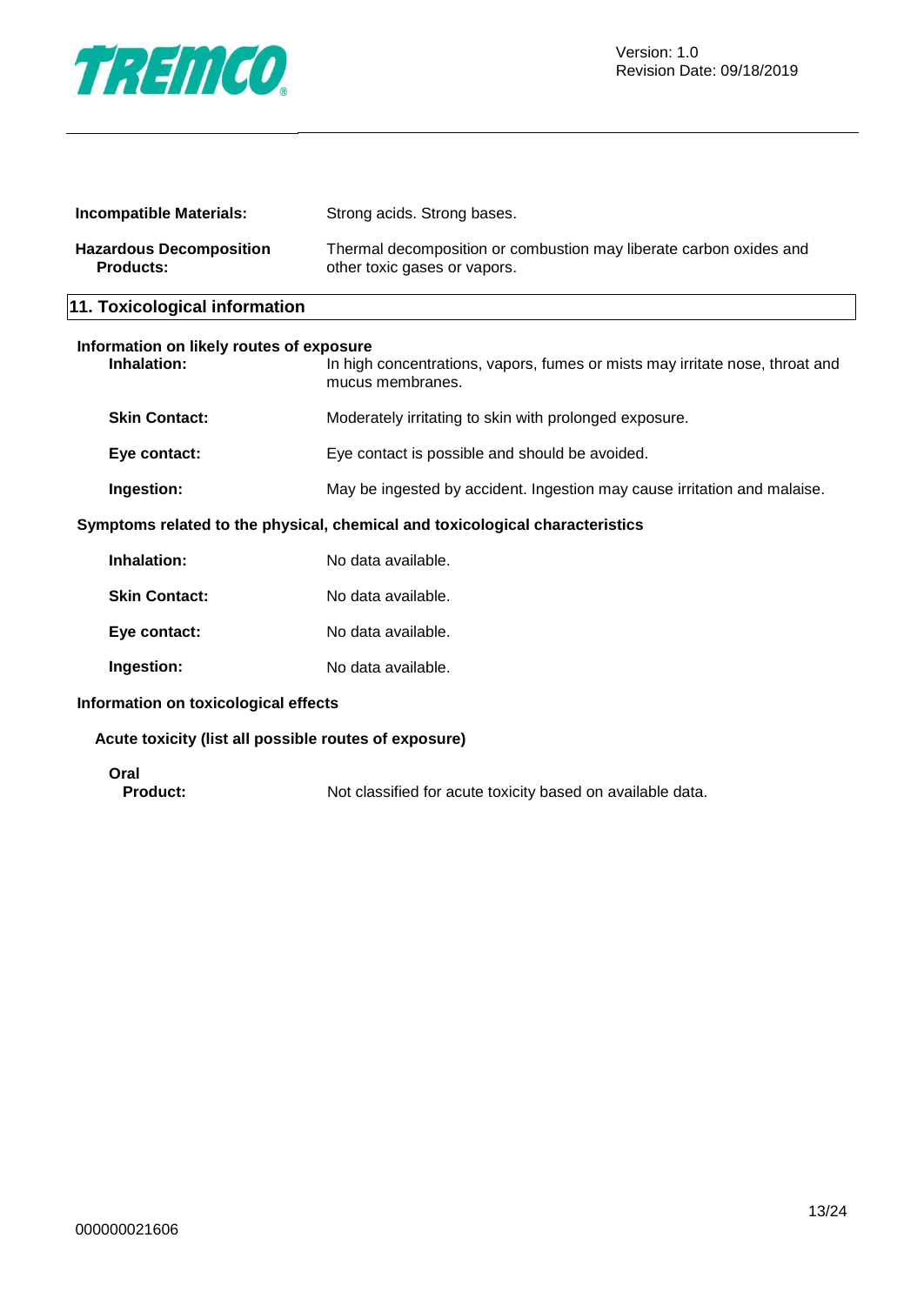

| <b>Incompatible Materials:</b>                                               | Strong acids. Strong bases.                                                                        |  |
|------------------------------------------------------------------------------|----------------------------------------------------------------------------------------------------|--|
| <b>Hazardous Decomposition</b><br><b>Products:</b>                           | Thermal decomposition or combustion may liberate carbon oxides and<br>other toxic gases or vapors. |  |
| 11. Toxicological information                                                |                                                                                                    |  |
| Information on likely routes of exposure<br>Inhalation:                      | In high concentrations, vapors, fumes or mists may irritate nose, throat and<br>mucus membranes.   |  |
| <b>Skin Contact:</b>                                                         | Moderately irritating to skin with prolonged exposure.                                             |  |
| Eye contact:                                                                 | Eye contact is possible and should be avoided.                                                     |  |
| Ingestion:                                                                   | May be ingested by accident. Ingestion may cause irritation and malaise.                           |  |
| Symptoms related to the physical, chemical and toxicological characteristics |                                                                                                    |  |
| Inhalation:                                                                  | No data available.                                                                                 |  |

| 11111 1 a 1 a thuir . | <u>inu udia avaliaule.</u> |
|-----------------------|----------------------------|
| Skin Contact:         | No data available.         |
| Eye contact:          | No data available.         |
| <b>Ingestion:</b>     | No data available.         |

**Information on toxicological effects**

#### **Acute toxicity (list all possible routes of exposure)**

**Oral**

Not classified for acute toxicity based on available data.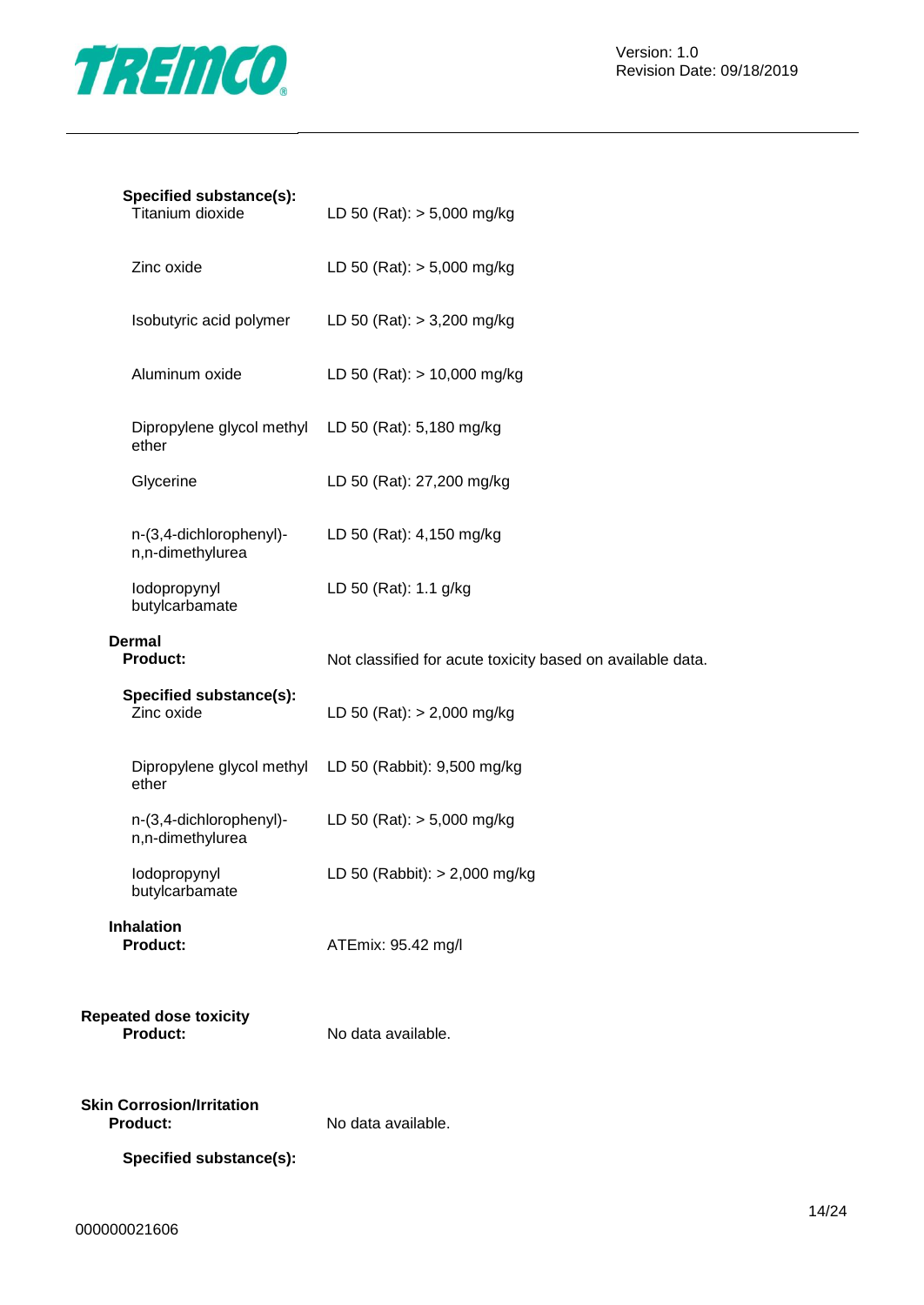

| Specified substance(s):<br>Titanium dioxide                 | LD 50 (Rat): $> 5,000$ mg/kg                               |
|-------------------------------------------------------------|------------------------------------------------------------|
| Zinc oxide                                                  | LD 50 (Rat): $> 5,000$ mg/kg                               |
| Isobutyric acid polymer                                     | LD 50 (Rat): $> 3,200$ mg/kg                               |
| Aluminum oxide                                              | LD 50 (Rat): $> 10,000$ mg/kg                              |
| Dipropylene glycol methyl LD 50 (Rat): 5,180 mg/kg<br>ether |                                                            |
| Glycerine                                                   | LD 50 (Rat): 27,200 mg/kg                                  |
| n-(3,4-dichlorophenyl)-<br>n,n-dimethylurea                 | LD 50 (Rat): 4,150 mg/kg                                   |
| lodopropynyl<br>butylcarbamate                              | LD 50 (Rat): 1.1 g/kg                                      |
| <b>Dermal</b><br><b>Product:</b>                            | Not classified for acute toxicity based on available data. |
| Specified substance(s):<br>Zinc oxide                       | LD 50 (Rat): $> 2,000$ mg/kg                               |
| ether                                                       | Dipropylene glycol methyl LD 50 (Rabbit): 9,500 mg/kg      |
| n-(3,4-dichlorophenyl)-<br>n,n-dimethylurea                 | LD 50 (Rat): $> 5,000$ mg/kg                               |
| lodopropynyl<br>butylcarbamate                              | LD 50 (Rabbit): $> 2,000$ mg/kg                            |
| <b>Inhalation</b><br><b>Product:</b>                        | ATEmix: 95.42 mg/l                                         |
| <b>Repeated dose toxicity</b><br><b>Product:</b>            | No data available.                                         |
| <b>Skin Corrosion/Irritation</b><br><b>Product:</b>         | No data available.                                         |

**Specified substance(s):**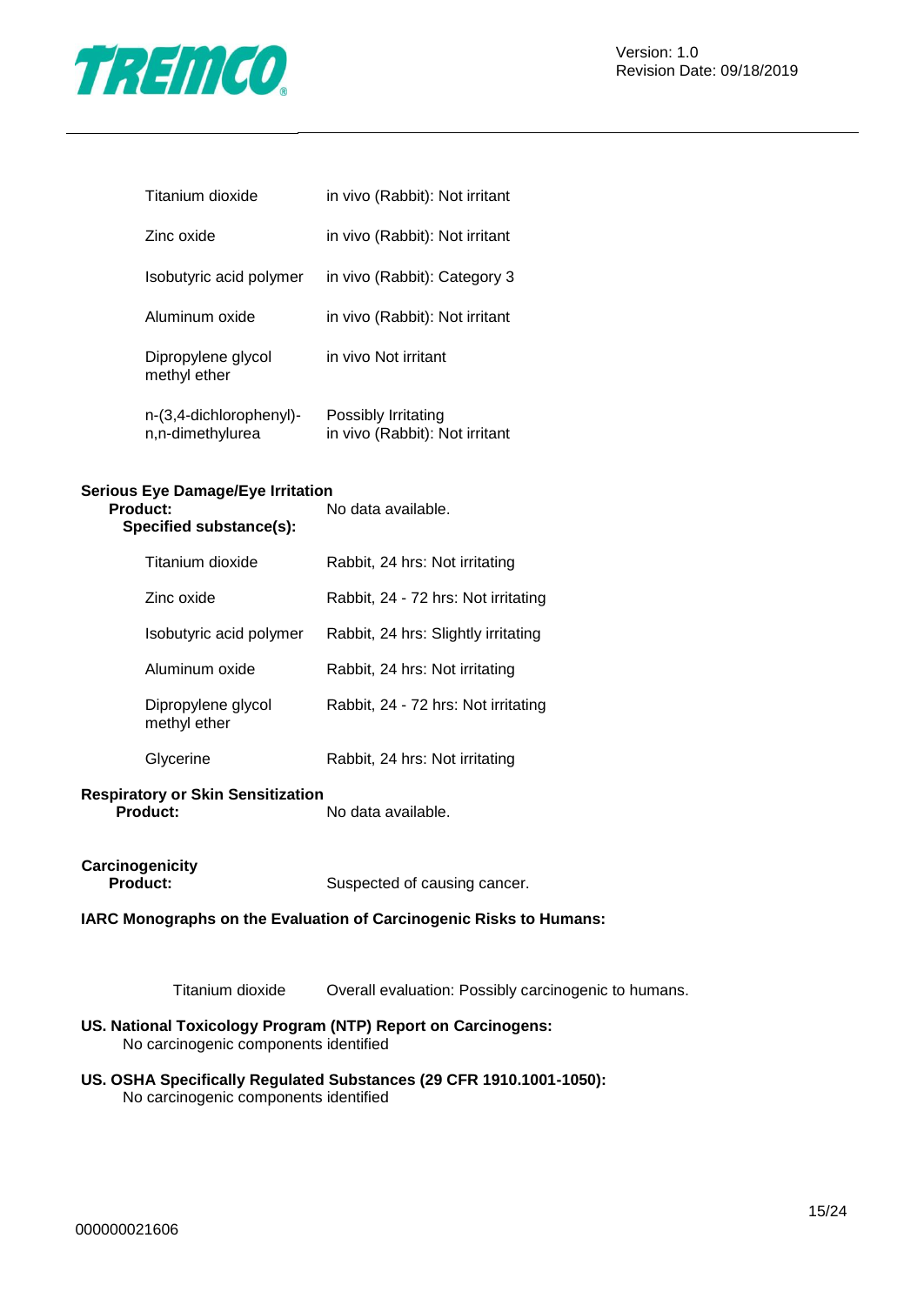

| Titanium dioxide                   | in vivo (Rabbit): Not irritant |
|------------------------------------|--------------------------------|
| Zinc oxide                         | in vivo (Rabbit): Not irritant |
| Isobutyric acid polymer            | in vivo (Rabbit): Category 3   |
| Aluminum oxide                     | in vivo (Rabbit): Not irritant |
| Dipropylene glycol<br>methyl ether | in vivo Not irritant           |

| n-(3,4-dichlorophenyl)- | Possibly Irritating            |
|-------------------------|--------------------------------|
| n,n-dimethylurea        | in vivo (Rabbit): Not irritant |

## **Serious Eye Damage/Eye Irritation**

| 'roduct:<br>Specified substance(s): | No data available.                  |
|-------------------------------------|-------------------------------------|
| Titanium dioxide                    | Rabbit, 24 hrs: Not irritating      |
| Zinc oxide                          | Rabbit, 24 - 72 hrs: Not irritating |
| Isobutyric acid polymer             | Rabbit, 24 hrs: Slightly irritating |
| Aluminum oxide                      | Rabbit, 24 hrs: Not irritating      |
| Dipropylene glycol<br>methyl ether  | Rabbit, 24 - 72 hrs: Not irritating |
| Glycerine                           | Rabbit, 24 hrs: Not irritating      |

#### **Respiratory or Skin Sensitization Product:** No data available.

**Carcinogenicity**

**Product:** Suspected of causing cancer.

#### **IARC Monographs on the Evaluation of Carcinogenic Risks to Humans:**

Titanium dioxide Overall evaluation: Possibly carcinogenic to humans.

#### **US. National Toxicology Program (NTP) Report on Carcinogens:** No carcinogenic components identified

**US. OSHA Specifically Regulated Substances (29 CFR 1910.1001-1050):** No carcinogenic components identified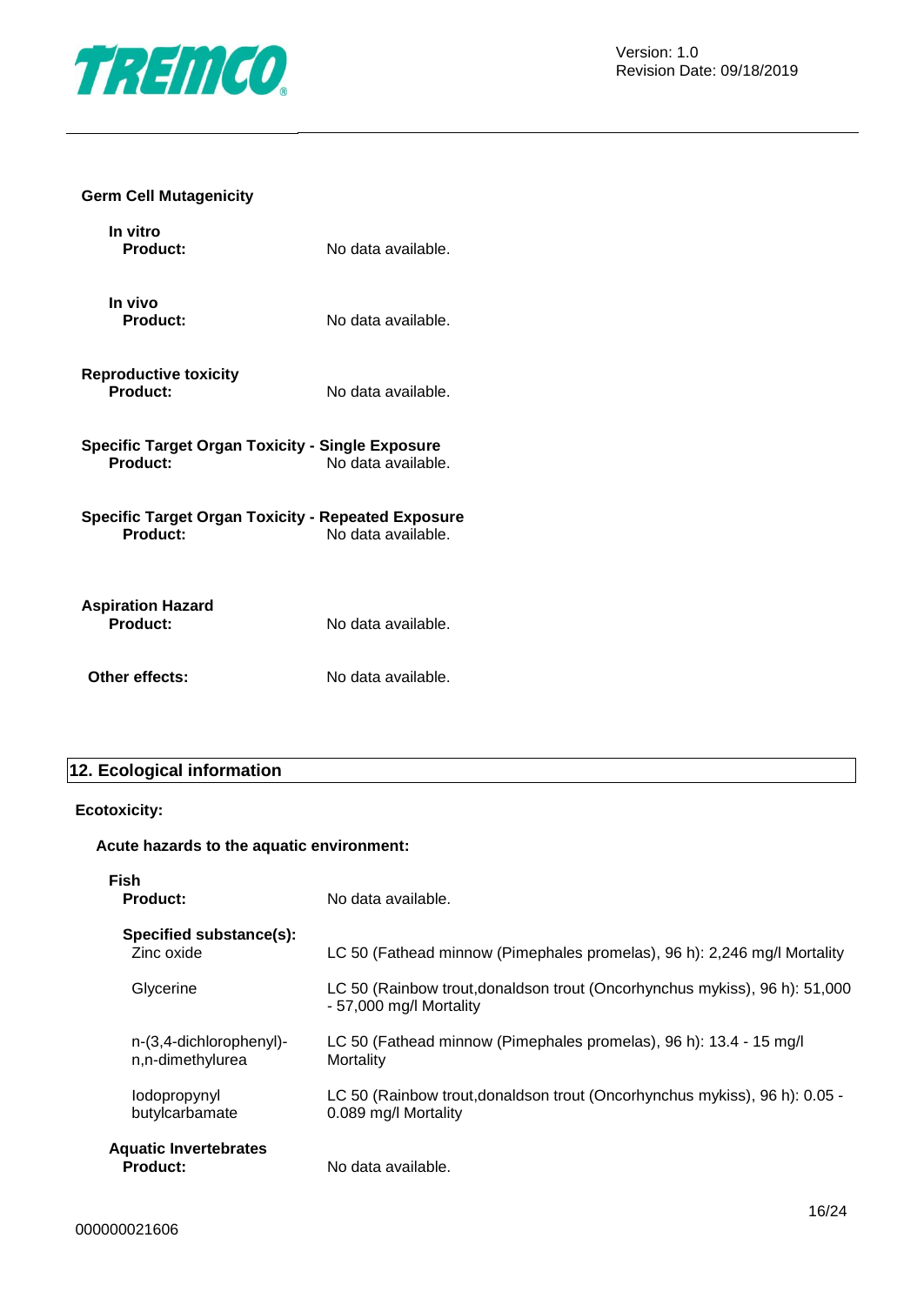

#### **Germ Cell Mutagenicity**

| In vitro<br><b>Product:</b>                                         | No data available. |
|---------------------------------------------------------------------|--------------------|
| In vivo<br><b>Product:</b>                                          | No data available. |
| <b>Reproductive toxicity</b><br>Product:                            | No data available. |
| Specific Target Organ Toxicity - Single Exposure<br><b>Product:</b> | No data available. |
| Specific Target Organ Toxicity - Repeated Exposure<br>Product:      | No data available. |
| <b>Aspiration Hazard</b><br>Product:                                | No data available. |
| Other effects:                                                      | No data available. |

### **12. Ecological information**

#### **Ecotoxicity:**

#### **Acute hazards to the aquatic environment:**

| Fish<br><b>Product:</b>                         | No data available.                                                                                    |
|-------------------------------------------------|-------------------------------------------------------------------------------------------------------|
| Specified substance(s):<br>Zinc oxide           | LC 50 (Fathead minnow (Pimephales promelas), 96 h): 2,246 mg/l Mortality                              |
| Glycerine                                       | LC 50 (Rainbow trout, donaldson trout (Oncorhynchus mykiss), 96 h): 51,000<br>- 57,000 mg/l Mortality |
| n-(3,4-dichlorophenyl)-<br>n,n-dimethylurea     | LC 50 (Fathead minnow (Pimephales promelas), 96 h): 13.4 - 15 mg/l<br>Mortality                       |
| lodopropynyl<br>butylcarbamate                  | LC 50 (Rainbow trout, donaldson trout (Oncorhynchus mykiss), 96 h): 0.05 -<br>0.089 mg/l Mortality    |
| <b>Aquatic Invertebrates</b><br><b>Product:</b> | No data available.                                                                                    |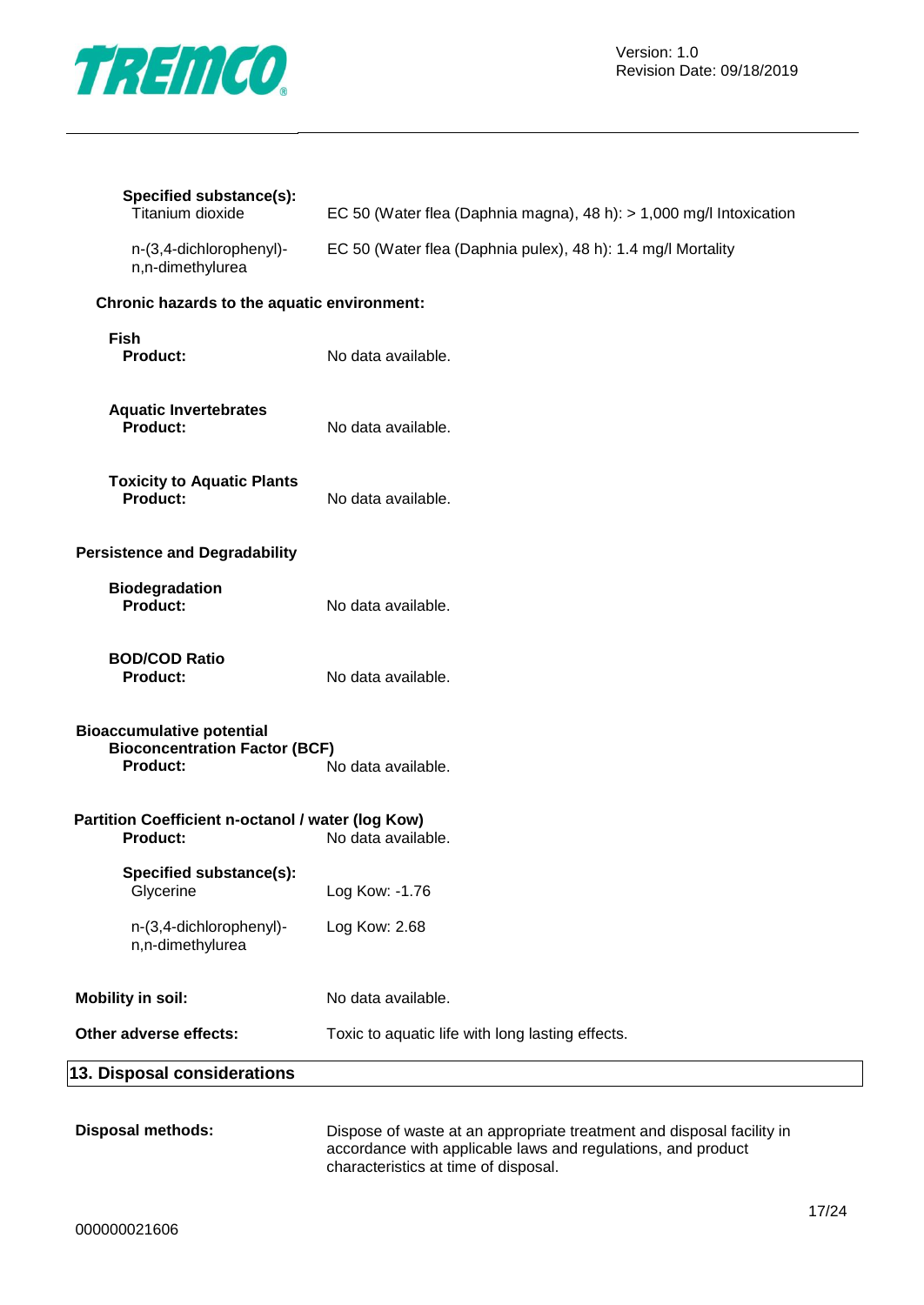

| Specified substance(s):<br>Titanium dioxide                                                 | EC 50 (Water flea (Daphnia magna), 48 h): $> 1,000$ mg/l Intoxication |
|---------------------------------------------------------------------------------------------|-----------------------------------------------------------------------|
| n-(3,4-dichlorophenyl)-<br>n,n-dimethylurea                                                 | EC 50 (Water flea (Daphnia pulex), 48 h): 1.4 mg/l Mortality          |
| Chronic hazards to the aquatic environment:                                                 |                                                                       |
| <b>Fish</b><br>Product:                                                                     | No data available.                                                    |
| <b>Aquatic Invertebrates</b><br>Product:                                                    | No data available.                                                    |
| <b>Toxicity to Aquatic Plants</b><br>Product:                                               | No data available.                                                    |
| <b>Persistence and Degradability</b>                                                        |                                                                       |
| <b>Biodegradation</b><br>Product:                                                           | No data available.                                                    |
| <b>BOD/COD Ratio</b><br>Product:                                                            | No data available.                                                    |
| <b>Bioaccumulative potential</b><br><b>Bioconcentration Factor (BCF)</b><br><b>Product:</b> | No data available.                                                    |
| Partition Coefficient n-octanol / water (log Kow)<br>Product:                               | No data available.                                                    |
| Specified substance(s):<br>Glycerine                                                        | Log Kow: -1.76                                                        |
| n-(3,4-dichlorophenyl)-<br>n,n-dimethylurea                                                 | Log Kow: 2.68                                                         |
| <b>Mobility in soil:</b>                                                                    | No data available.                                                    |
| Other adverse effects:                                                                      | Toxic to aquatic life with long lasting effects.                      |
| 13. Disposal considerations                                                                 |                                                                       |

**Disposal methods:** Dispose of waste at an appropriate treatment and disposal facility in accordance with applicable laws and regulations, and product characteristics at time of disposal.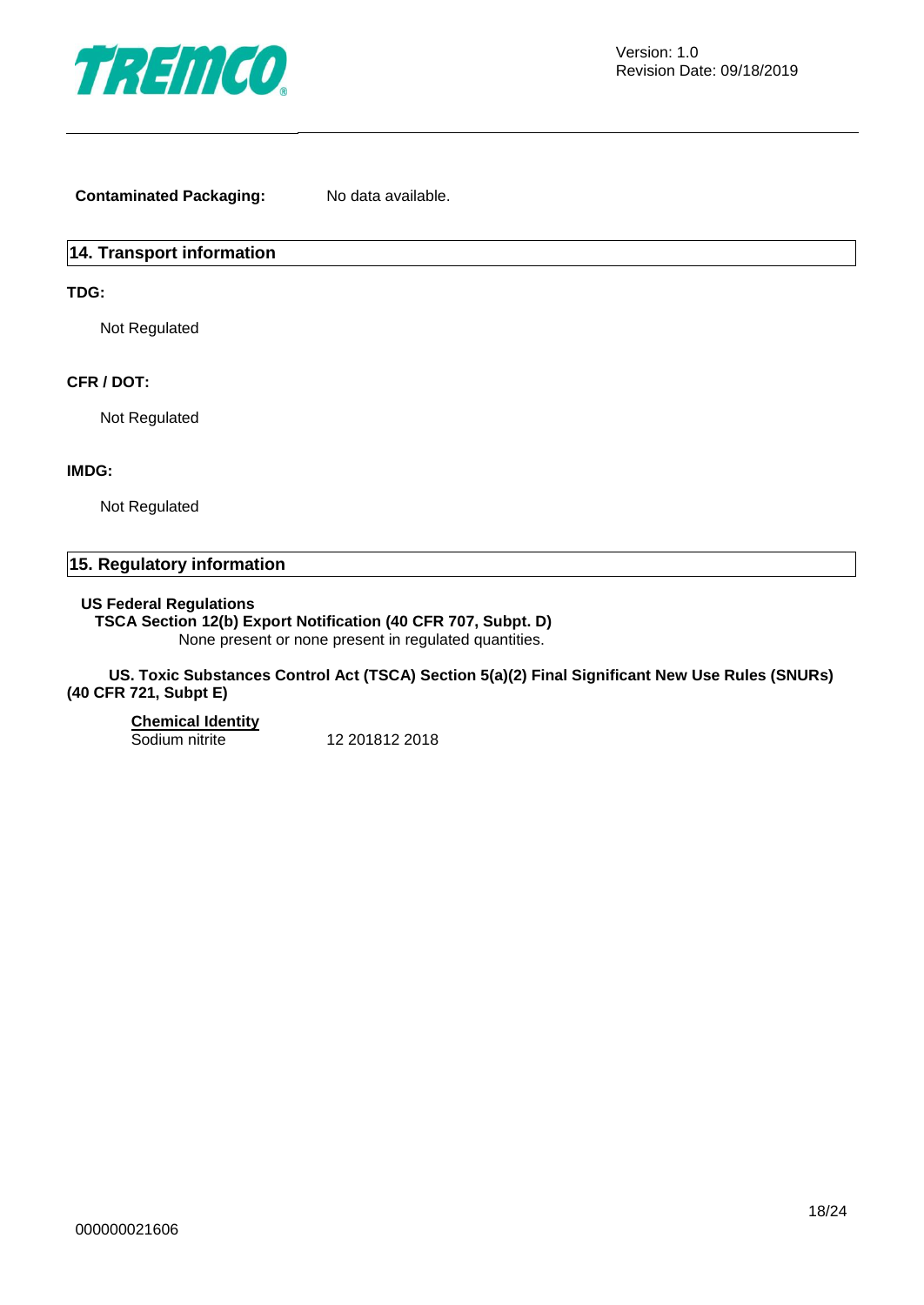

**Contaminated Packaging:** No data available.

#### **14. Transport information**

#### **TDG:**

Not Regulated

#### **CFR / DOT:**

Not Regulated

#### **IMDG:**

Not Regulated

#### **15. Regulatory information**

#### **US Federal Regulations**

**TSCA Section 12(b) Export Notification (40 CFR 707, Subpt. D)**

None present or none present in regulated quantities.

#### **US. Toxic Substances Control Act (TSCA) Section 5(a)(2) Final Significant New Use Rules (SNURs) (40 CFR 721, Subpt E)**

#### **Chemical Identity**

Sodium nitrite 12 201812 2018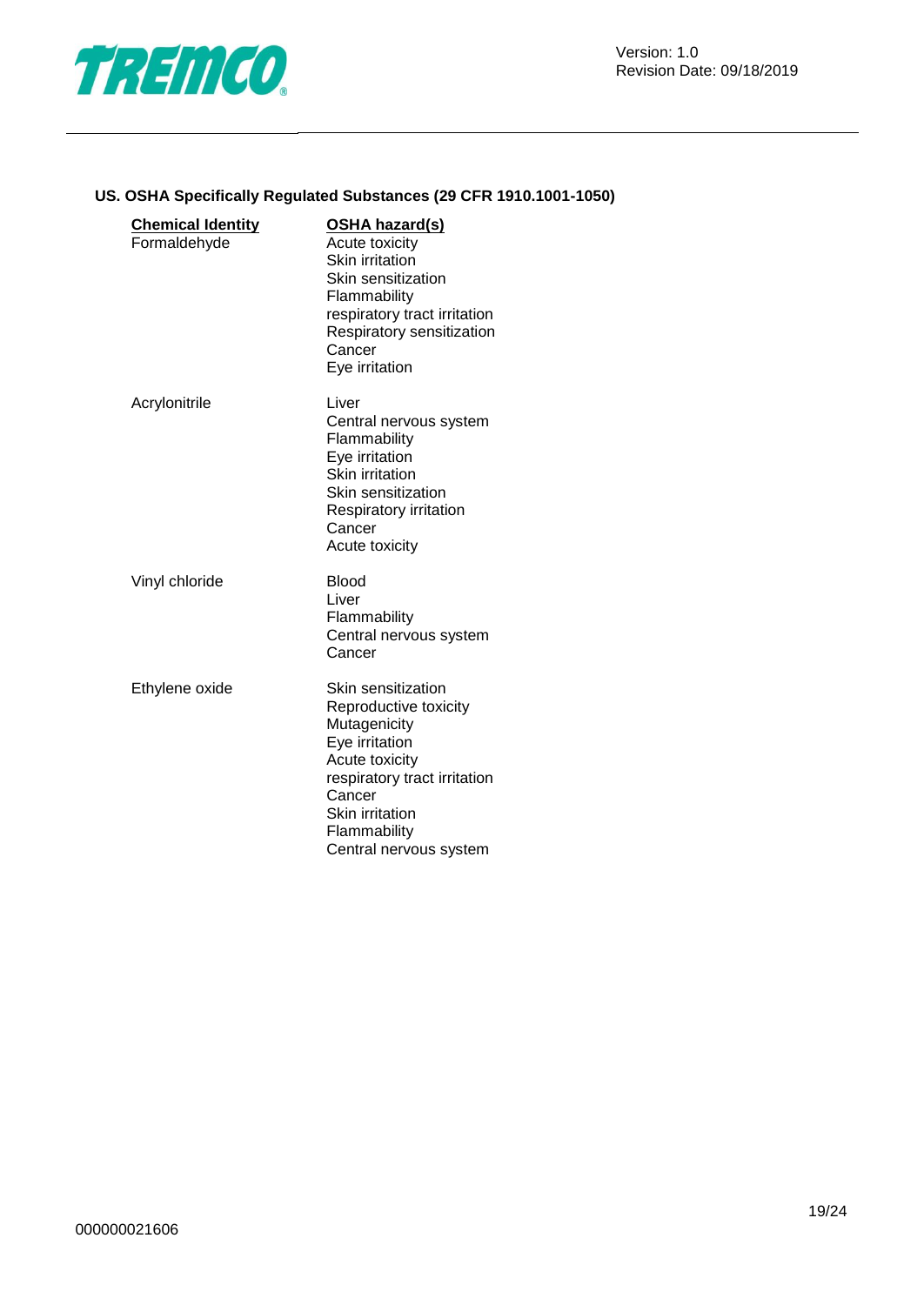

#### **US. OSHA Specifically Regulated Substances (29 CFR 1910.1001-1050)**

| <b>Chemical Identity</b><br>Formaldehyde | <u>OSHA hazard(s)</u><br><b>Acute toxicity</b><br>Skin irritation<br>Skin sensitization<br>Flammability<br>respiratory tract irritation<br>Respiratory sensitization<br>Cancer<br>Eye irritation       |
|------------------------------------------|--------------------------------------------------------------------------------------------------------------------------------------------------------------------------------------------------------|
| Acrylonitrile                            | Liver<br>Central nervous system<br>Flammability<br>Eye irritation<br>Skin irritation<br>Skin sensitization<br><b>Respiratory irritation</b><br>Cancer<br>Acute toxicity                                |
| Vinyl chloride                           | <b>Blood</b><br>Liver<br>Flammability<br>Central nervous system<br>Cancer                                                                                                                              |
| Ethylene oxide                           | Skin sensitization<br>Reproductive toxicity<br>Mutagenicity<br>Eye irritation<br>Acute toxicity<br>respiratory tract irritation<br>Cancer<br>Skin irritation<br>Flammability<br>Central nervous system |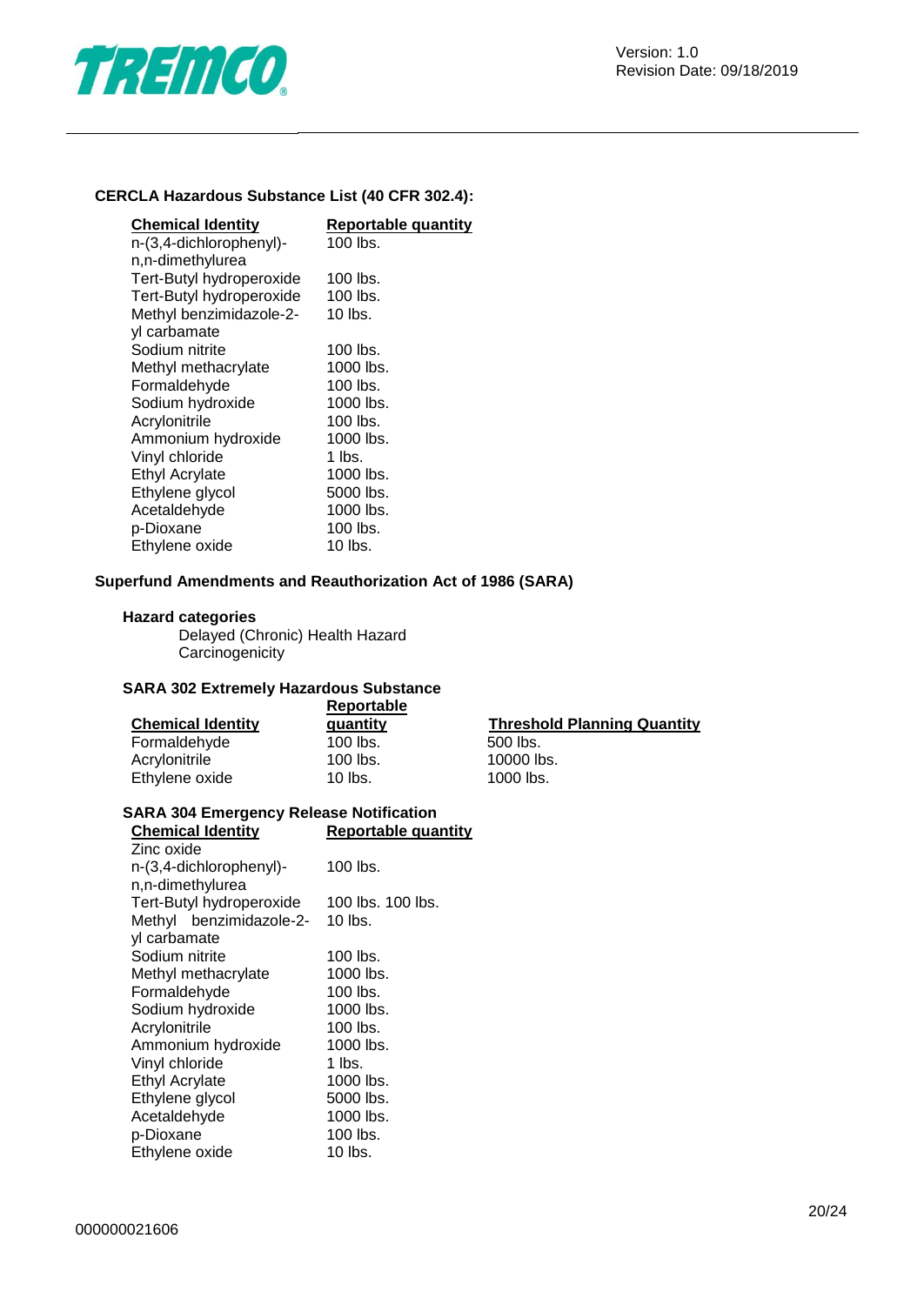

#### **CERCLA Hazardous Substance List (40 CFR 302.4):**

| <b>Chemical Identity</b> | <b>Reportable quantity</b> |
|--------------------------|----------------------------|
| n-(3,4-dichlorophenyl)-  | 100 lbs.                   |
| n,n-dimethylurea         |                            |
| Tert-Butyl hydroperoxide | 100 lbs.                   |
| Tert-Butyl hydroperoxide | $100$ lbs.                 |
| Methyl benzimidazole-2-  | $10$ lbs.                  |
| yl carbamate             |                            |
| Sodium nitrite           | 100 lbs.                   |
| Methyl methacrylate      | 1000 lbs.                  |
| Formaldehyde             | 100 lbs.                   |
| Sodium hydroxide         | 1000 lbs.                  |
| Acrylonitrile            | 100 lbs.                   |
| Ammonium hydroxide       | 1000 lbs.                  |
| Vinyl chloride           | 1 lbs.                     |
| Ethyl Acrylate           | 1000 lbs.                  |
| Ethylene glycol          | 5000 lbs.                  |
| Acetaldehyde             | 1000 lbs.                  |
| p-Dioxane                | 100 lbs.                   |
| Ethylene oxide           | $10$ lbs.                  |

#### **Superfund Amendments and Reauthorization Act of 1986 (SARA)**

#### **Hazard categories**

Delayed (Chronic) Health Hazard **Carcinogenicity** 

### **SARA 302 Extremely Hazardous Substance**

|                          | Reportable |                                    |
|--------------------------|------------|------------------------------------|
| <b>Chemical Identity</b> | quantity   | <b>Threshold Planning Quantity</b> |
| Formaldehyde             | $100$ lbs. | 500 lbs.                           |
| Acrylonitrile            | $100$ lbs. | 10000 lbs.                         |
| Ethylene oxide           | $10$ lbs.  | 1000 lbs.                          |

## **SARA 304 Emergency Release Notification**

#### **Reportable quantity**

| Zinc oxide                      |                   |  |  |
|---------------------------------|-------------------|--|--|
| n-(3,4-dichlorophenyl)-         | 100 lbs.          |  |  |
| n,n-dimethylurea                |                   |  |  |
| Tert-Butyl hydroperoxide        | 100 lbs. 100 lbs. |  |  |
| Methyl benzimidazole-2- 10 lbs. |                   |  |  |
| yl carbamate                    |                   |  |  |
| Sodium nitrite                  | 100 lbs.          |  |  |
| Methyl methacrylate             | 1000 lbs.         |  |  |
| Formaldehyde                    | 100 lbs.          |  |  |
| Sodium hydroxide                | 1000 lbs.         |  |  |
| Acrylonitrile                   | $100$ lbs.        |  |  |
| Ammonium hydroxide              | 1000 lbs.         |  |  |
| Vinyl chloride                  | 1 lbs.            |  |  |
| <b>Ethyl Acrylate</b>           | 1000 lbs.         |  |  |
| Ethylene glycol                 | 5000 lbs.         |  |  |
| Acetaldehyde                    | 1000 lbs.         |  |  |
| p-Dioxane                       | 100 lbs.          |  |  |
| Ethylene oxide                  | 10 lbs.           |  |  |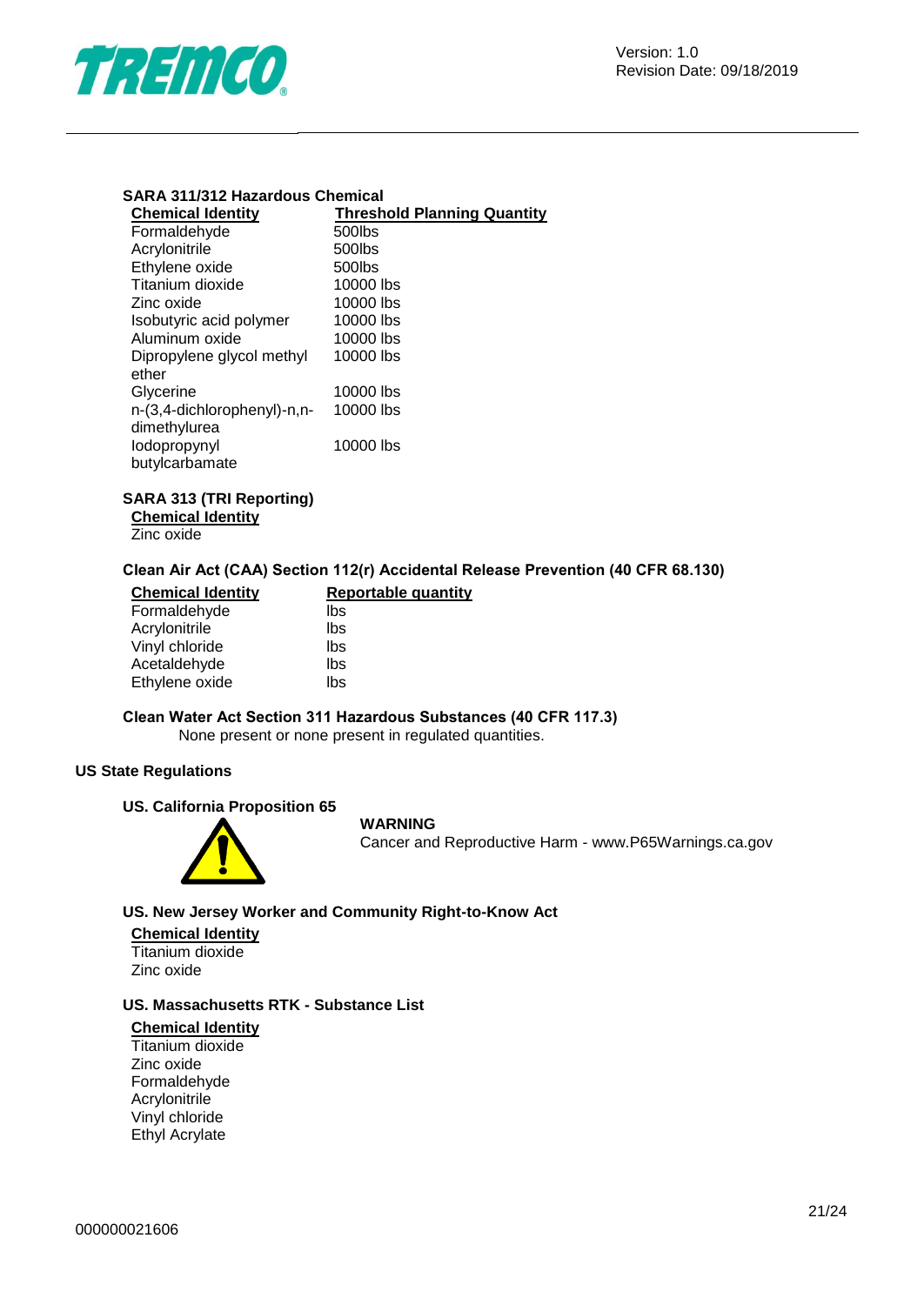

#### **SARA 311/312 Hazardous Chemical**

| <b>Chemical Identity</b>    | <b>Threshold Planning Quantity</b> |
|-----------------------------|------------------------------------|
| Formaldehyde                | 500lbs                             |
| Acrylonitrile               | 500lbs                             |
| Ethylene oxide              | 500lbs                             |
| Titanium dioxide            | 10000 lbs                          |
| Zinc oxide                  | 10000 lbs                          |
| Isobutyric acid polymer     | 10000 lbs                          |
| Aluminum oxide              | 10000 lbs                          |
| Dipropylene glycol methyl   | 10000 lbs                          |
| ether                       |                                    |
| Glycerine                   | 10000 lbs                          |
| n-(3,4-dichlorophenyl)-n,n- | 10000 lbs                          |
| dimethylurea                |                                    |
| lodopropynyl                | 10000 lbs                          |
| butylcarbamate              |                                    |

#### **SARA 313 (TRI Reporting)**

**Chemical Identity**

Zinc oxide

#### **Clean Air Act (CAA) Section 112(r) Accidental Release Prevention (40 CFR 68.130)**

| <b>Chemical Identity</b> | <b>Reportable quantity</b> |
|--------------------------|----------------------------|
| Formaldehyde             | lbs                        |
| Acrylonitrile            | lbs                        |
| Vinyl chloride           | lbs                        |
| Acetaldehyde             | lbs                        |
| Ethylene oxide           | lbs                        |

## **Clean Water Act Section 311 Hazardous Substances (40 CFR 117.3)**

None present or none present in regulated quantities.

#### **US State Regulations**

#### **US. California Proposition 65**



#### **WARNING**

Cancer and Reproductive Harm - www.P65Warnings.ca.gov

#### **US. New Jersey Worker and Community Right-to-Know Act**

#### **Chemical Identity** Titanium dioxide

Zinc oxide

#### **US. Massachusetts RTK - Substance List**

#### **Chemical Identity**

Titanium dioxide Zinc oxide Formaldehyde Acrylonitrile Vinyl chloride Ethyl Acrylate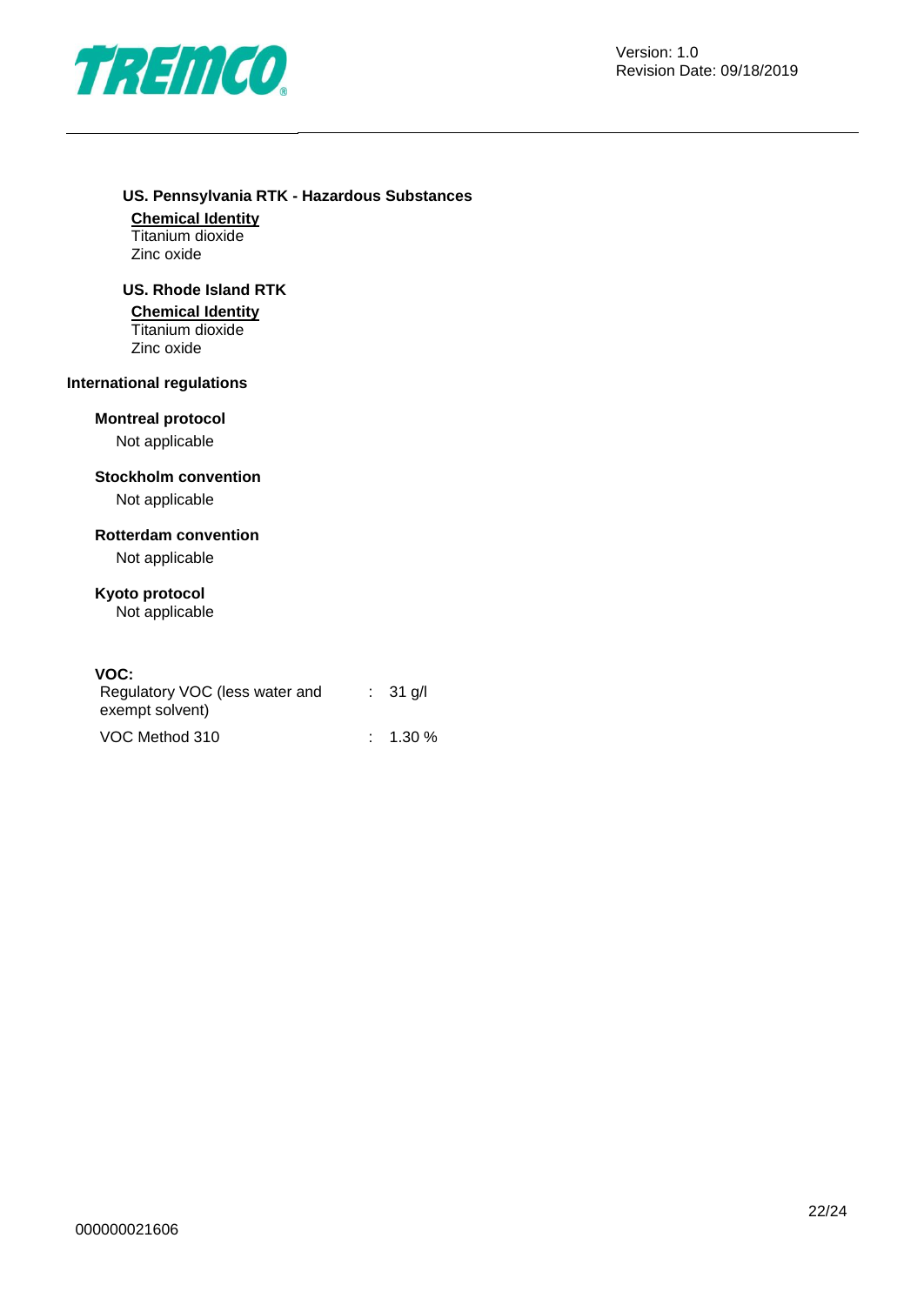

#### **US. Pennsylvania RTK - Hazardous Substances**

**Chemical Identity** Titanium dioxide Zinc oxide

#### **US. Rhode Island RTK**

#### **Chemical Identity**

Titanium dioxide Zinc oxide

#### **International regulations**

#### **Montreal protocol**

Not applicable

#### **Stockholm convention**

Not applicable

#### **Rotterdam convention**

Not applicable

### **Kyoto protocol**

Not applicable

#### **VOC:**

| Regulatory VOC (less water and | $\therefore$ 31 g/l |
|--------------------------------|---------------------|
| exempt solvent)                |                     |
| VOC Method 310                 | $\therefore$ 1.30 % |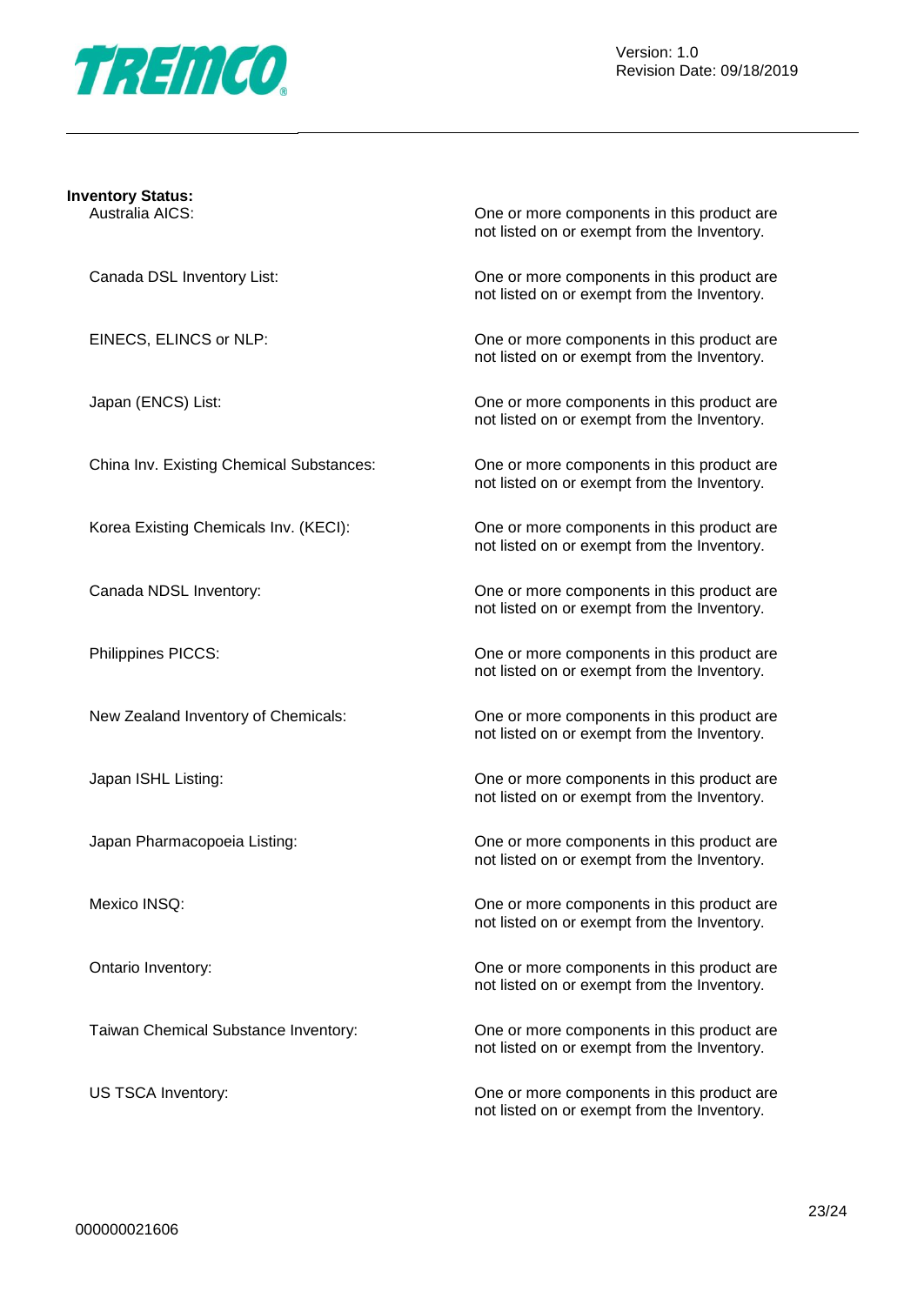

#### **Inventory Status:**

Australia AICS: One or more components in this product are not listed on or exempt from the Inventory.

Canada DSL Inventory List: One or more components in this product are not listed on or exempt from the Inventory.

EINECS, ELINCS or NLP: One or more components in this product are not listed on or exempt from the Inventory.

Japan (ENCS) List: One or more components in this product are not listed on or exempt from the Inventory.

China Inv. Existing Chemical Substances: One or more components in this product are not listed on or exempt from the Inventory.

Korea Existing Chemicals Inv. (KECI): One or more components in this product are not listed on or exempt from the Inventory.

Canada NDSL Inventory: One or more components in this product are not listed on or exempt from the Inventory.

Philippines PICCS: One or more components in this product are not listed on or exempt from the Inventory.

New Zealand Inventory of Chemicals: One or more components in this product are not listed on or exempt from the Inventory.

Japan ISHL Listing: One or more components in this product are not listed on or exempt from the Inventory.

Japan Pharmacopoeia Listing: One or more components in this product are not listed on or exempt from the Inventory.

Mexico INSQ: One or more components in this product are not listed on or exempt from the Inventory.

Ontario Inventory: One or more components in this product are not listed on or exempt from the Inventory.

Taiwan Chemical Substance Inventory: One or more components in this product are not listed on or exempt from the Inventory.

US TSCA Inventory:  $\Box$  One or more components in this product are not listed on or exempt from the Inventory.